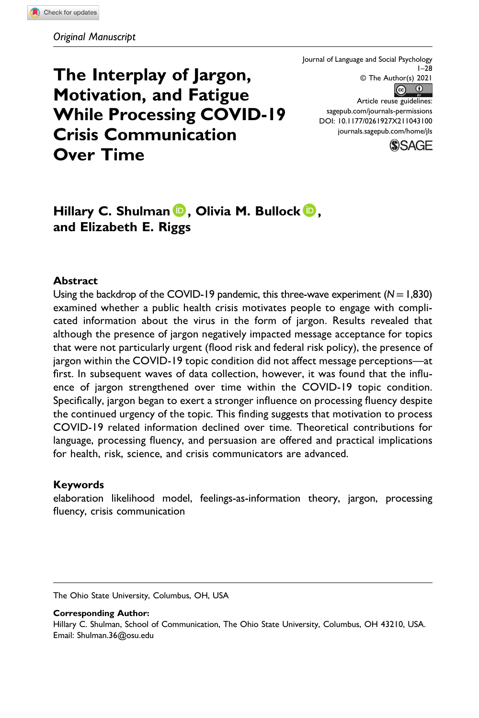The Interplay of Jargon, Motivation, and Fatigue While Processing COVID-19 Crisis Communication Over Time

Journal of Language and Social Psychology 1–28 © The Author(s) 2021  $\begin{array}{cc} \hline \end{array}$ Article reuse guidelines: [sagepub.com/journals-permissions](https://us.sagepub.com/en-us/journals-permissions) DOI: 10.1177/0261927X211043100 [journals.sagepub.com/home/jls](https://journals.sagepub.com/home/jls)



# Hillary C. Shulman  $\mathbf{D}$ , Olivia M. Bullock  $\mathbf{D}$ , and Elizabeth E. Riggs

#### Abstract

Using the backdrop of the COVID-19 pandemic, this three-wave experiment  $(N=1,830)$ examined whether a public health crisis motivates people to engage with complicated information about the virus in the form of jargon. Results revealed that although the presence of jargon negatively impacted message acceptance for topics that were not particularly urgent (flood risk and federal risk policy), the presence of jargon within the COVID-19 topic condition did not affect message perceptions—at first. In subsequent waves of data collection, however, it was found that the influence of jargon strengthened over time within the COVID-19 topic condition. Specifically, jargon began to exert a stronger influence on processing fluency despite the continued urgency of the topic. This finding suggests that motivation to process COVID-19 related information declined over time. Theoretical contributions for language, processing fluency, and persuasion are offered and practical implications for health, risk, science, and crisis communicators are advanced.

#### Keywords

elaboration likelihood model, feelings-as-information theory, jargon, processing fluency, crisis communication

The Ohio State University, Columbus, OH, USA

Corresponding Author:

Hillary C. Shulman, School of Communication, The Ohio State University, Columbus, OH 43210, USA. Email: [Shulman.36@osu.edu](mailto:Shulman.36@osu.edu)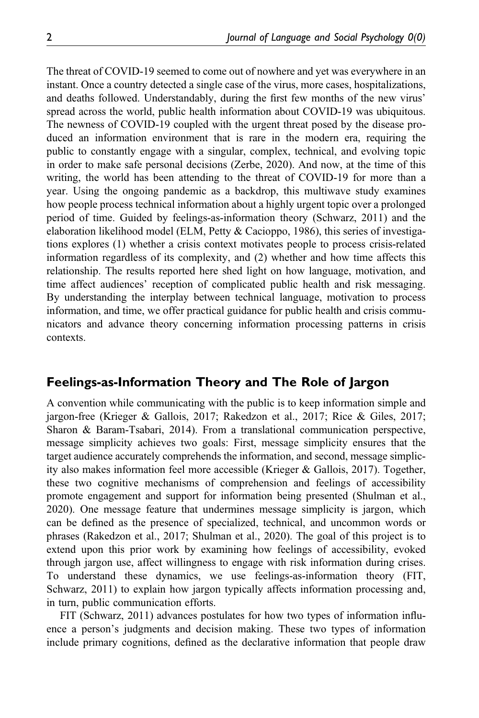The threat of COVID-19 seemed to come out of nowhere and yet was everywhere in an instant. Once a country detected a single case of the virus, more cases, hospitalizations, and deaths followed. Understandably, during the first few months of the new virus' spread across the world, public health information about COVID-19 was ubiquitous. The newness of COVID-19 coupled with the urgent threat posed by the disease produced an information environment that is rare in the modern era, requiring the public to constantly engage with a singular, complex, technical, and evolving topic in order to make safe personal decisions (Zerbe, 2020). And now, at the time of this writing, the world has been attending to the threat of COVID-19 for more than a year. Using the ongoing pandemic as a backdrop, this multiwave study examines how people process technical information about a highly urgent topic over a prolonged period of time. Guided by feelings-as-information theory (Schwarz, 2011) and the elaboration likelihood model (ELM, Petty & Cacioppo, 1986), this series of investigations explores (1) whether a crisis context motivates people to process crisis-related information regardless of its complexity, and (2) whether and how time affects this relationship. The results reported here shed light on how language, motivation, and time affect audiences' reception of complicated public health and risk messaging. By understanding the interplay between technical language, motivation to process information, and time, we offer practical guidance for public health and crisis communicators and advance theory concerning information processing patterns in crisis contexts.

# Feelings-as-Information Theory and The Role of Jargon

A convention while communicating with the public is to keep information simple and jargon-free (Krieger & Gallois, 2017; Rakedzon et al., 2017; Rice & Giles, 2017; Sharon & Baram-Tsabari, 2014). From a translational communication perspective, message simplicity achieves two goals: First, message simplicity ensures that the target audience accurately comprehends the information, and second, message simplicity also makes information feel more accessible (Krieger & Gallois, 2017). Together, these two cognitive mechanisms of comprehension and feelings of accessibility promote engagement and support for information being presented (Shulman et al., 2020). One message feature that undermines message simplicity is jargon, which can be defined as the presence of specialized, technical, and uncommon words or phrases (Rakedzon et al., 2017; Shulman et al., 2020). The goal of this project is to extend upon this prior work by examining how feelings of accessibility, evoked through jargon use, affect willingness to engage with risk information during crises. To understand these dynamics, we use feelings-as-information theory (FIT, Schwarz, 2011) to explain how jargon typically affects information processing and, in turn, public communication efforts.

FIT (Schwarz, 2011) advances postulates for how two types of information influence a person's judgments and decision making. These two types of information include primary cognitions, defined as the declarative information that people draw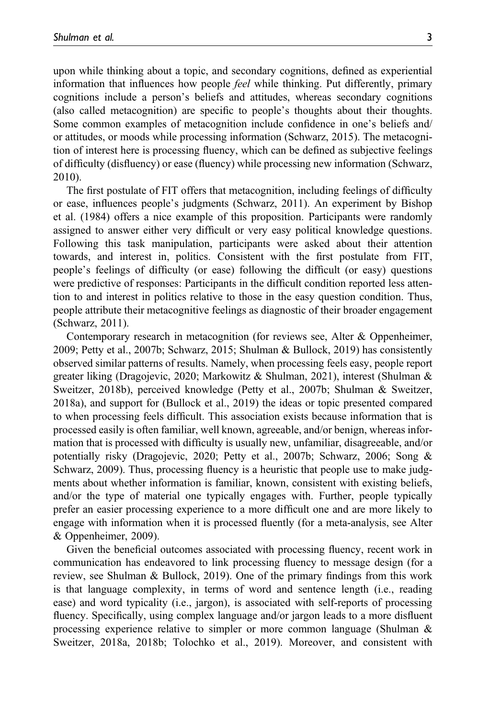upon while thinking about a topic, and secondary cognitions, defined as experiential information that influences how people feel while thinking. Put differently, primary cognitions include a person's beliefs and attitudes, whereas secondary cognitions (also called metacognition) are specific to people's thoughts about their thoughts. Some common examples of metacognition include confidence in one's beliefs and/ or attitudes, or moods while processing information (Schwarz, 2015). The metacognition of interest here is processing fluency, which can be defined as subjective feelings of difficulty (disfluency) or ease (fluency) while processing new information (Schwarz, 2010).

The first postulate of FIT offers that metacognition, including feelings of difficulty or ease, influences people's judgments (Schwarz, 2011). An experiment by Bishop et al. (1984) offers a nice example of this proposition. Participants were randomly assigned to answer either very difficult or very easy political knowledge questions. Following this task manipulation, participants were asked about their attention towards, and interest in, politics. Consistent with the first postulate from FIT, people's feelings of difficulty (or ease) following the difficult (or easy) questions were predictive of responses: Participants in the difficult condition reported less attention to and interest in politics relative to those in the easy question condition. Thus, people attribute their metacognitive feelings as diagnostic of their broader engagement (Schwarz, 2011).

Contemporary research in metacognition (for reviews see, Alter & Oppenheimer, 2009; Petty et al., 2007b; Schwarz, 2015; Shulman & Bullock, 2019) has consistently observed similar patterns of results. Namely, when processing feels easy, people report greater liking (Dragojevic, 2020; Markowitz & Shulman, 2021), interest (Shulman & Sweitzer, 2018b), perceived knowledge (Petty et al., 2007b; Shulman & Sweitzer, 2018a), and support for (Bullock et al., 2019) the ideas or topic presented compared to when processing feels difficult. This association exists because information that is processed easily is often familiar, well known, agreeable, and/or benign, whereas information that is processed with difficulty is usually new, unfamiliar, disagreeable, and/or potentially risky (Dragojevic, 2020; Petty et al., 2007b; Schwarz, 2006; Song & Schwarz, 2009). Thus, processing fluency is a heuristic that people use to make judgments about whether information is familiar, known, consistent with existing beliefs, and/or the type of material one typically engages with. Further, people typically prefer an easier processing experience to a more difficult one and are more likely to engage with information when it is processed fluently (for a meta-analysis, see Alter & Oppenheimer, 2009).

Given the beneficial outcomes associated with processing fluency, recent work in communication has endeavored to link processing fluency to message design (for a review, see Shulman & Bullock, 2019). One of the primary findings from this work is that language complexity, in terms of word and sentence length (i.e., reading ease) and word typicality (i.e., jargon), is associated with self-reports of processing fluency. Specifically, using complex language and/or jargon leads to a more disfluent processing experience relative to simpler or more common language (Shulman & Sweitzer, 2018a, 2018b; Tolochko et al., 2019). Moreover, and consistent with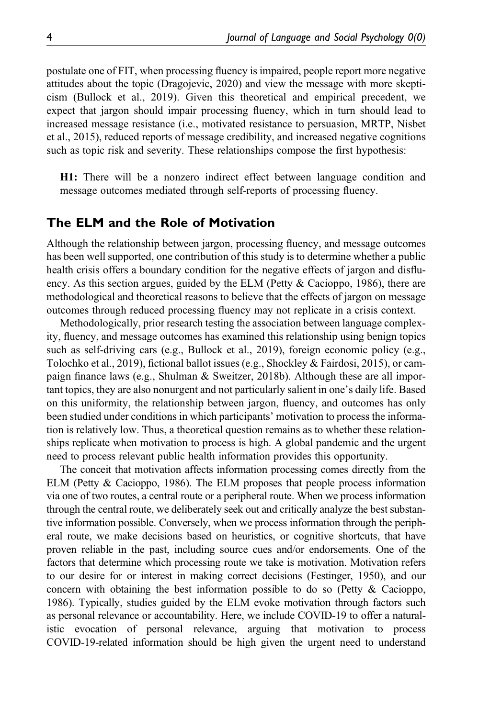postulate one of FIT, when processing fluency is impaired, people report more negative attitudes about the topic (Dragojevic, 2020) and view the message with more skepticism (Bullock et al., 2019). Given this theoretical and empirical precedent, we expect that jargon should impair processing fluency, which in turn should lead to increased message resistance (i.e., motivated resistance to persuasion, MRTP, Nisbet et al., 2015), reduced reports of message credibility, and increased negative cognitions such as topic risk and severity. These relationships compose the first hypothesis:

H1: There will be a nonzero indirect effect between language condition and message outcomes mediated through self-reports of processing fluency.

### The ELM and the Role of Motivation

Although the relationship between jargon, processing fluency, and message outcomes has been well supported, one contribution of this study is to determine whether a public health crisis offers a boundary condition for the negative effects of jargon and disfluency. As this section argues, guided by the ELM (Petty & Cacioppo, 1986), there are methodological and theoretical reasons to believe that the effects of jargon on message outcomes through reduced processing fluency may not replicate in a crisis context.

Methodologically, prior research testing the association between language complexity, fluency, and message outcomes has examined this relationship using benign topics such as self-driving cars (e.g., Bullock et al., 2019), foreign economic policy (e.g., Tolochko et al., 2019), fictional ballot issues (e.g., Shockley & Fairdosi, 2015), or campaign finance laws (e.g., Shulman & Sweitzer, 2018b). Although these are all important topics, they are also nonurgent and not particularly salient in one's daily life. Based on this uniformity, the relationship between jargon, fluency, and outcomes has only been studied under conditions in which participants' motivation to process the information is relatively low. Thus, a theoretical question remains as to whether these relationships replicate when motivation to process is high. A global pandemic and the urgent need to process relevant public health information provides this opportunity.

The conceit that motivation affects information processing comes directly from the ELM (Petty & Cacioppo, 1986). The ELM proposes that people process information via one of two routes, a central route or a peripheral route. When we process information through the central route, we deliberately seek out and critically analyze the best substantive information possible. Conversely, when we process information through the peripheral route, we make decisions based on heuristics, or cognitive shortcuts, that have proven reliable in the past, including source cues and/or endorsements. One of the factors that determine which processing route we take is motivation. Motivation refers to our desire for or interest in making correct decisions (Festinger, 1950), and our concern with obtaining the best information possible to do so (Petty & Cacioppo, 1986). Typically, studies guided by the ELM evoke motivation through factors such as personal relevance or accountability. Here, we include COVID-19 to offer a naturalistic evocation of personal relevance, arguing that motivation to process COVID-19-related information should be high given the urgent need to understand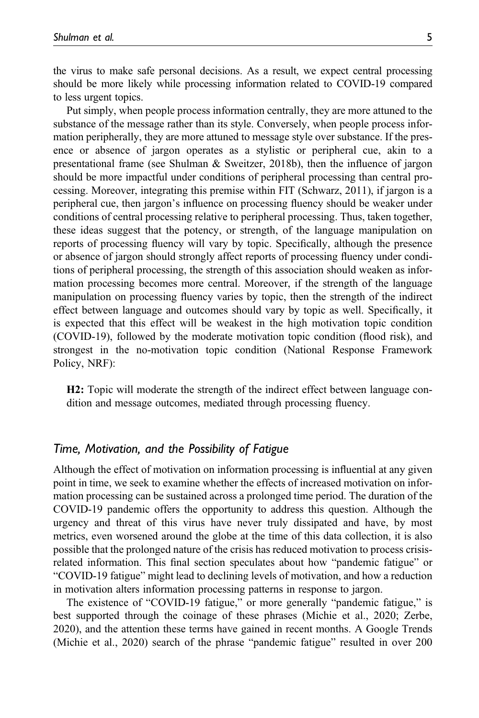the virus to make safe personal decisions. As a result, we expect central processing should be more likely while processing information related to COVID-19 compared to less urgent topics.

Put simply, when people process information centrally, they are more attuned to the substance of the message rather than its style. Conversely, when people process information peripherally, they are more attuned to message style over substance. If the presence or absence of jargon operates as a stylistic or peripheral cue, akin to a presentational frame (see Shulman & Sweitzer, 2018b), then the influence of jargon should be more impactful under conditions of peripheral processing than central processing. Moreover, integrating this premise within FIT (Schwarz, 2011), if jargon is a peripheral cue, then jargon's influence on processing fluency should be weaker under conditions of central processing relative to peripheral processing. Thus, taken together, these ideas suggest that the potency, or strength, of the language manipulation on reports of processing fluency will vary by topic. Specifically, although the presence or absence of jargon should strongly affect reports of processing fluency under conditions of peripheral processing, the strength of this association should weaken as information processing becomes more central. Moreover, if the strength of the language manipulation on processing fluency varies by topic, then the strength of the indirect effect between language and outcomes should vary by topic as well. Specifically, it is expected that this effect will be weakest in the high motivation topic condition (COVID-19), followed by the moderate motivation topic condition (flood risk), and strongest in the no-motivation topic condition (National Response Framework Policy, NRF):

H2: Topic will moderate the strength of the indirect effect between language condition and message outcomes, mediated through processing fluency.

### Time, Motivation, and the Possibility of Fatigue

Although the effect of motivation on information processing is influential at any given point in time, we seek to examine whether the effects of increased motivation on information processing can be sustained across a prolonged time period. The duration of the COVID-19 pandemic offers the opportunity to address this question. Although the urgency and threat of this virus have never truly dissipated and have, by most metrics, even worsened around the globe at the time of this data collection, it is also possible that the prolonged nature of the crisis has reduced motivation to process crisisrelated information. This final section speculates about how "pandemic fatigue" or "COVID-19 fatigue" might lead to declining levels of motivation, and how a reduction in motivation alters information processing patterns in response to jargon.

The existence of "COVID-19 fatigue," or more generally "pandemic fatigue," is best supported through the coinage of these phrases (Michie et al., 2020; Zerbe, 2020), and the attention these terms have gained in recent months. A Google Trends (Michie et al., 2020) search of the phrase "pandemic fatigue" resulted in over 200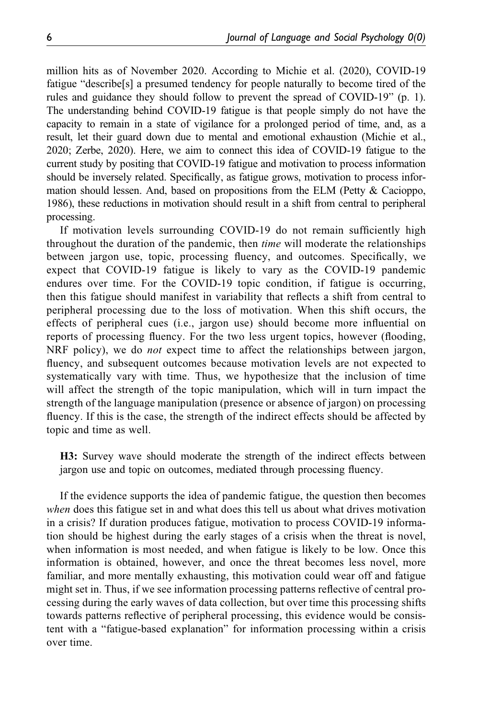million hits as of November 2020. According to Michie et al. (2020), COVID-19 fatigue "describe[s] a presumed tendency for people naturally to become tired of the rules and guidance they should follow to prevent the spread of COVID-19" (p. 1). The understanding behind COVID-19 fatigue is that people simply do not have the capacity to remain in a state of vigilance for a prolonged period of time, and, as a result, let their guard down due to mental and emotional exhaustion (Michie et al., 2020; Zerbe, 2020). Here, we aim to connect this idea of COVID-19 fatigue to the current study by positing that COVID-19 fatigue and motivation to process information should be inversely related. Specifically, as fatigue grows, motivation to process information should lessen. And, based on propositions from the ELM (Petty & Cacioppo, 1986), these reductions in motivation should result in a shift from central to peripheral processing.

If motivation levels surrounding COVID-19 do not remain sufficiently high throughout the duration of the pandemic, then *time* will moderate the relationships between jargon use, topic, processing fluency, and outcomes. Specifically, we expect that COVID-19 fatigue is likely to vary as the COVID-19 pandemic endures over time. For the COVID-19 topic condition, if fatigue is occurring, then this fatigue should manifest in variability that reflects a shift from central to peripheral processing due to the loss of motivation. When this shift occurs, the effects of peripheral cues (i.e., jargon use) should become more influential on reports of processing fluency. For the two less urgent topics, however (flooding, NRF policy), we do *not* expect time to affect the relationships between jargon, fluency, and subsequent outcomes because motivation levels are not expected to systematically vary with time. Thus, we hypothesize that the inclusion of time will affect the strength of the topic manipulation, which will in turn impact the strength of the language manipulation (presence or absence of jargon) on processing fluency. If this is the case, the strength of the indirect effects should be affected by topic and time as well.

H3: Survey wave should moderate the strength of the indirect effects between jargon use and topic on outcomes, mediated through processing fluency.

If the evidence supports the idea of pandemic fatigue, the question then becomes when does this fatigue set in and what does this tell us about what drives motivation in a crisis? If duration produces fatigue, motivation to process COVID-19 information should be highest during the early stages of a crisis when the threat is novel, when information is most needed, and when fatigue is likely to be low. Once this information is obtained, however, and once the threat becomes less novel, more familiar, and more mentally exhausting, this motivation could wear off and fatigue might set in. Thus, if we see information processing patterns reflective of central processing during the early waves of data collection, but over time this processing shifts towards patterns reflective of peripheral processing, this evidence would be consistent with a "fatigue-based explanation" for information processing within a crisis over time.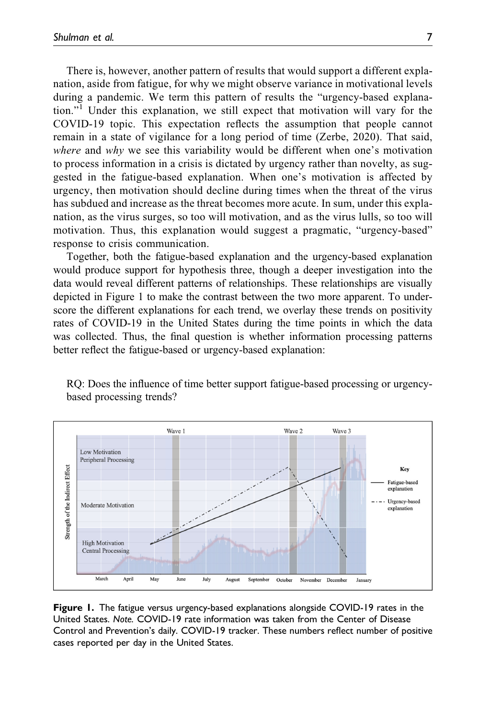There is, however, another pattern of results that would support a different explanation, aside from fatigue, for why we might observe variance in motivational levels during a pandemic. We term this pattern of results the "urgency-based explanation."<sup>1</sup> Under this explanation, we still expect that motivation will vary for the COVID-19 topic. This expectation reflects the assumption that people cannot remain in a state of vigilance for a long period of time (Zerbe, 2020). That said, where and why we see this variability would be different when one's motivation to process information in a crisis is dictated by urgency rather than novelty, as suggested in the fatigue-based explanation. When one's motivation is affected by urgency, then motivation should decline during times when the threat of the virus has subdued and increase as the threat becomes more acute. In sum, under this explanation, as the virus surges, so too will motivation, and as the virus lulls, so too will motivation. Thus, this explanation would suggest a pragmatic, "urgency-based" response to crisis communication.

Together, both the fatigue-based explanation and the urgency-based explanation would produce support for hypothesis three, though a deeper investigation into the data would reveal different patterns of relationships. These relationships are visually depicted in Figure 1 to make the contrast between the two more apparent. To underscore the different explanations for each trend, we overlay these trends on positivity rates of COVID-19 in the United States during the time points in which the data was collected. Thus, the final question is whether information processing patterns better reflect the fatigue-based or urgency-based explanation:

RQ: Does the influence of time better support fatigue-based processing or urgencybased processing trends?



Figure 1. The fatigue versus urgency-based explanations alongside COVID-19 rates in the United States. Note. COVID-19 rate information was taken from the Center of Disease Control and Prevention's daily. COVID-19 tracker. These numbers reflect number of positive cases reported per day in the United States.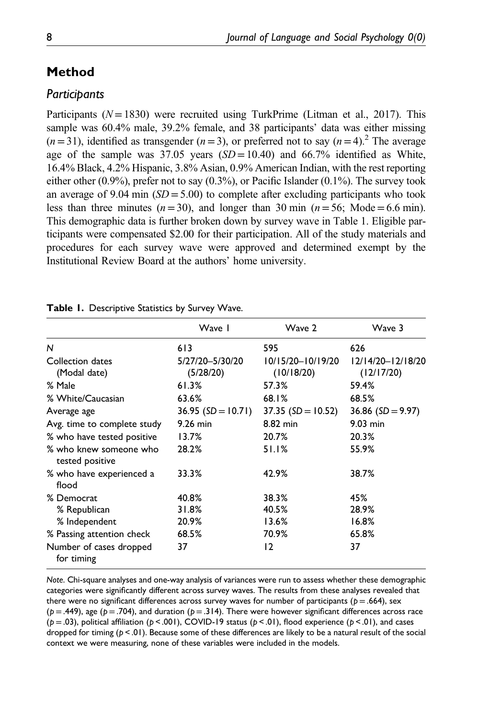# Method

## **Participants**

Participants ( $N = 1830$ ) were recruited using TurkPrime (Litman et al., 2017). This sample was 60.4% male, 39.2% female, and 38 participants' data was either missing  $(n=31)$ , identified as transgender  $(n=3)$ , or preferred not to say  $(n=4)$ .<sup>2</sup> The average age of the sample was  $37.05$  years  $(SD = 10.40)$  and  $66.7\%$  identified as White, 16.4% Black, 4.2% Hispanic, 3.8% Asian, 0.9% American Indian, with the rest reporting either other (0.9%), prefer not to say (0.3%), or Pacific Islander (0.1%). The survey took an average of 9.04 min  $(SD = 5.00)$  to complete after excluding participants who took less than three minutes ( $n=30$ ), and longer than 30 min ( $n=56$ ; Mode = 6.6 min). This demographic data is further broken down by survey wave in Table 1. Eligible participants were compensated \$2.00 for their participation. All of the study materials and procedures for each survey wave were approved and determined exempt by the Institutional Review Board at the authors' home university.

|                                           | Wave I                       | Wave 2                          | Wave 3                          |
|-------------------------------------------|------------------------------|---------------------------------|---------------------------------|
| N                                         | 613                          | 595                             | 626                             |
| Collection dates<br>(Modal date)          | 5/27/20-5/30/20<br>(5/28/20) | 10/15/20-10/19/20<br>(10/18/20) | 12/14/20-12/18/20<br>(12/17/20) |
| % Male                                    | 61.3%                        | 57.3%                           | 59.4%                           |
| % White/Caucasian                         | 63.6%                        | 68.1%                           | 68.5%                           |
| Average age                               | $36.95$ (SD = 10.71)         | $37.35$ (SD = 10.52)            | 36.86 ( $SD = 9.97$ )           |
| Avg. time to complete study               | $9.26$ min                   | 8.82 min                        | $9.03$ min                      |
| % who have tested positive                | 13.7%                        | 20.7%                           | 20.3%                           |
| % who knew someone who<br>tested positive | 28.2%                        | 51.1%                           | 55.9%                           |
| % who have experienced a<br>flood         | 33.3%                        | 42.9%                           | 38.7%                           |
| % Democrat                                | 40.8%                        | 38.3%                           | 45%                             |
| % Republican                              | 31.8%                        | 40.5%                           | 28.9%                           |
| % Independent                             | 20.9%                        | 13.6%                           | 16.8%                           |
| % Passing attention check                 | 68.5%                        | 70.9%                           | 65.8%                           |
| Number of cases dropped<br>for timing     | 37                           | 12                              | 37                              |

|  | Table I. Descriptive Statistics by Survey Wave. |  |  |  |
|--|-------------------------------------------------|--|--|--|
|--|-------------------------------------------------|--|--|--|

Note. Chi-square analyses and one-way analysis of variances were run to assess whether these demographic categories were significantly different across survey waves. The results from these analyses revealed that there were no significant differences across survey waves for number of participants ( $p = .664$ ), sex  $(p = .449)$ , age  $(p = .704)$ , and duration  $(p = .314)$ . There were however significant differences across race ( $p = .03$ ), political affiliation ( $p < .001$ ), COVID-19 status ( $p < .01$ ), flood experience ( $p < .01$ ), and cases dropped for timing ( $p < 01$ ). Because some of these differences are likely to be a natural result of the social context we were measuring, none of these variables were included in the models.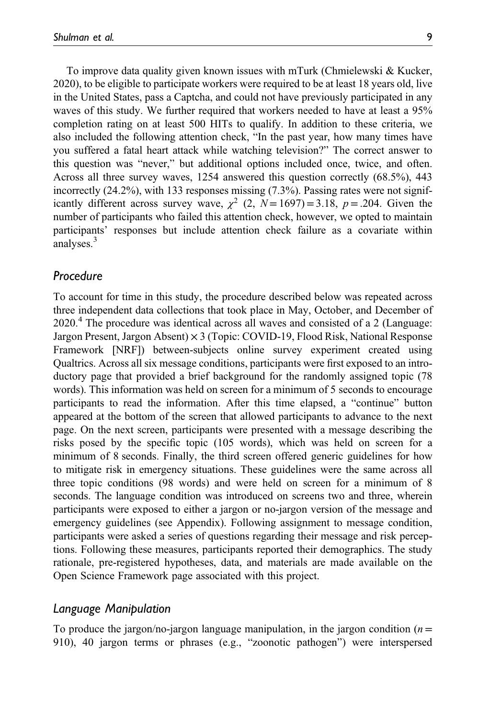To improve data quality given known issues with mTurk (Chmielewski & Kucker, 2020), to be eligible to participate workers were required to be at least 18 years old, live in the United States, pass a Captcha, and could not have previously participated in any waves of this study. We further required that workers needed to have at least a 95% completion rating on at least 500 HITs to qualify. In addition to these criteria, we also included the following attention check, "In the past year, how many times have you suffered a fatal heart attack while watching television?" The correct answer to this question was "never," but additional options included once, twice, and often. Across all three survey waves, 1254 answered this question correctly (68.5%), 443 incorrectly  $(24.2\%)$ , with 133 responses missing  $(7.3\%)$ . Passing rates were not significantly different across survey wave,  $\chi^2$  (2,  $N=1697$ ) = 3.18, p = .204. Given the number of participants who failed this attention check, however, we opted to maintain participants' responses but include attention check failure as a covariate within analyses.<sup>3</sup>

### Procedure

To account for time in this study, the procedure described below was repeated across three independent data collections that took place in May, October, and December of 2020.<sup>4</sup> The procedure was identical across all waves and consisted of a 2 (Language: Jargon Present, Jargon Absent) × 3 (Topic: COVID-19, Flood Risk, National Response Framework [NRF]) between-subjects online survey experiment created using Qualtrics. Across all six message conditions, participants were first exposed to an introductory page that provided a brief background for the randomly assigned topic (78 words). This information was held on screen for a minimum of 5 seconds to encourage participants to read the information. After this time elapsed, a "continue" button appeared at the bottom of the screen that allowed participants to advance to the next page. On the next screen, participants were presented with a message describing the risks posed by the specific topic (105 words), which was held on screen for a minimum of 8 seconds. Finally, the third screen offered generic guidelines for how to mitigate risk in emergency situations. These guidelines were the same across all three topic conditions (98 words) and were held on screen for a minimum of 8 seconds. The language condition was introduced on screens two and three, wherein participants were exposed to either a jargon or no-jargon version of the message and emergency guidelines (see Appendix). Following assignment to message condition, participants were asked a series of questions regarding their message and risk perceptions. Following these measures, participants reported their demographics. The study rationale, pre-registered hypotheses, data, and materials are made available on the Open Science Framework page associated with this project.

### Language Manipulation

To produce the jargon/no-jargon language manipulation, in the jargon condition ( $n=$ 910), 40 jargon terms or phrases (e.g., "zoonotic pathogen") were interspersed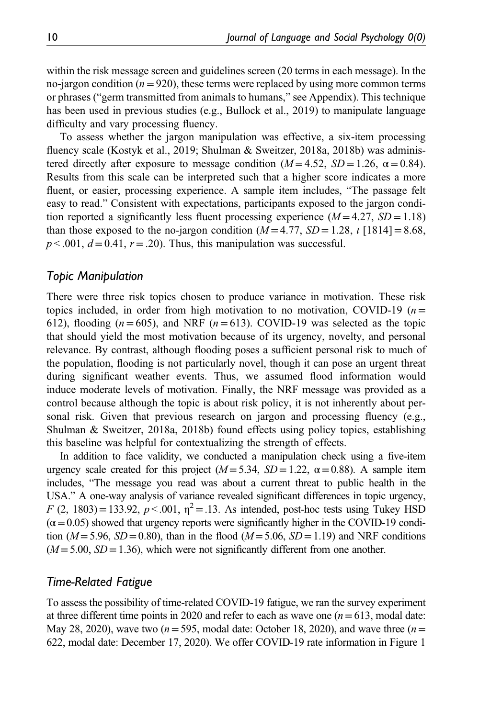within the risk message screen and guidelines screen (20 terms in each message). In the no-jargon condition ( $n=920$ ), these terms were replaced by using more common terms or phrases ("germ transmitted from animals to humans," see Appendix). This technique has been used in previous studies (e.g., Bullock et al., 2019) to manipulate language difficulty and vary processing fluency.

To assess whether the jargon manipulation was effective, a six-item processing fluency scale (Kostyk et al., 2019; Shulman & Sweitzer, 2018a, 2018b) was administered directly after exposure to message condition ( $M = 4.52$ ,  $SD = 1.26$ ,  $\alpha = 0.84$ ). Results from this scale can be interpreted such that a higher score indicates a more fluent, or easier, processing experience. A sample item includes, "The passage felt easy to read." Consistent with expectations, participants exposed to the jargon condition reported a significantly less fluent processing experience  $(M = 4.27, SD = 1.18)$ than those exposed to the no-jargon condition  $(M = 4.77, SD = 1.28, t \cdot [1814] = 8.68$ ,  $p < .001$ ,  $d = 0.41$ ,  $r = .20$ ). Thus, this manipulation was successful.

### Topic Manipulation

There were three risk topics chosen to produce variance in motivation. These risk topics included, in order from high motivation to no motivation, COVID-19 ( $n=$ 612), flooding ( $n=605$ ), and NRF ( $n=613$ ). COVID-19 was selected as the topic that should yield the most motivation because of its urgency, novelty, and personal relevance. By contrast, although flooding poses a sufficient personal risk to much of the population, flooding is not particularly novel, though it can pose an urgent threat during significant weather events. Thus, we assumed flood information would induce moderate levels of motivation. Finally, the NRF message was provided as a control because although the topic is about risk policy, it is not inherently about personal risk. Given that previous research on jargon and processing fluency (e.g., Shulman & Sweitzer, 2018a, 2018b) found effects using policy topics, establishing this baseline was helpful for contextualizing the strength of effects.

In addition to face validity, we conducted a manipulation check using a five-item urgency scale created for this project ( $M = 5.34$ ,  $SD = 1.22$ ,  $\alpha = 0.88$ ). A sample item includes, "The message you read was about a current threat to public health in the USA." A one-way analysis of variance revealed significant differences in topic urgency, F (2, 1803) = 133.92,  $p < .001$ ,  $\eta^2 = .13$ . As intended, post-hoc tests using Tukey HSD  $(\alpha = 0.05)$  showed that urgency reports were significantly higher in the COVID-19 condition ( $M = 5.96$ ,  $SD = 0.80$ ), than in the flood ( $M = 5.06$ ,  $SD = 1.19$ ) and NRF conditions  $(M = 5.00, SD = 1.36)$ , which were not significantly different from one another.

### Time-Related Fatigue

To assess the possibility of time-related COVID-19 fatigue, we ran the survey experiment at three different time points in 2020 and refer to each as wave one  $(n=613, \text{ modal date})$ . May 28, 2020), wave two ( $n=595$ , modal date: October 18, 2020), and wave three ( $n=$ 622, modal date: December 17, 2020). We offer COVID-19 rate information in Figure 1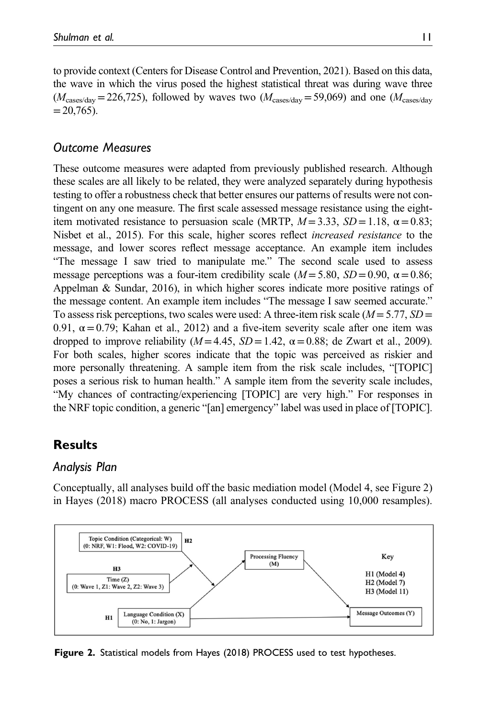to provide context (Centers for Disease Control and Prevention, 2021). Based on this data, the wave in which the virus posed the highest statistical threat was during wave three  $(M_{\text{cases/day}} = 226,725)$ , followed by waves two  $(M_{\text{cases/day}} = 59,069)$  and one  $(M_{\text{cases/day}}$  $=20,765$ ).

# Outcome Measures

These outcome measures were adapted from previously published research. Although these scales are all likely to be related, they were analyzed separately during hypothesis testing to offer a robustness check that better ensures our patterns of results were not contingent on any one measure. The first scale assessed message resistance using the eightitem motivated resistance to persuasion scale (MRTP,  $M = 3.33$ ,  $SD = 1.18$ ,  $\alpha = 0.83$ ; Nisbet et al., 2015). For this scale, higher scores reflect increased resistance to the message, and lower scores reflect message acceptance. An example item includes "The message I saw tried to manipulate me." The second scale used to assess message perceptions was a four-item credibility scale  $(M = 5.80, SD = 0.90, \alpha = 0.86;$ Appelman & Sundar, 2016), in which higher scores indicate more positive ratings of the message content. An example item includes "The message I saw seemed accurate." To assess risk perceptions, two scales were used: A three-item risk scale  $(M = 5.77, SD =$ 0.91,  $\alpha$  = 0.79; Kahan et al., 2012) and a five-item severity scale after one item was dropped to improve reliability ( $M = 4.45$ ,  $SD = 1.42$ ,  $\alpha = 0.88$ ; de Zwart et al., 2009). For both scales, higher scores indicate that the topic was perceived as riskier and more personally threatening. A sample item from the risk scale includes, "[TOPIC] poses a serious risk to human health." A sample item from the severity scale includes, "My chances of contracting/experiencing [TOPIC] are very high." For responses in the NRF topic condition, a generic "[an] emergency" label was used in place of [TOPIC].

# **Results**

### Analysis Plan

Conceptually, all analyses build off the basic mediation model (Model 4, see Figure 2) in Hayes (2018) macro PROCESS (all analyses conducted using 10,000 resamples).



Figure 2. Statistical models from Hayes (2018) PROCESS used to test hypotheses.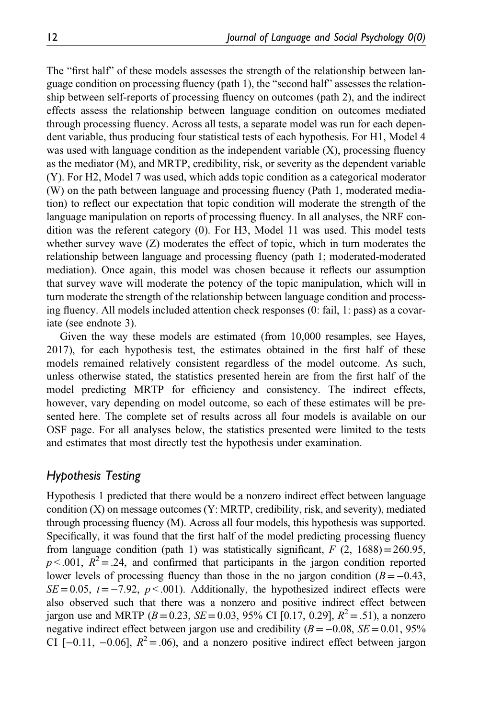The "first half" of these models assesses the strength of the relationship between language condition on processing fluency (path 1), the "second half" assesses the relationship between self-reports of processing fluency on outcomes (path 2), and the indirect effects assess the relationship between language condition on outcomes mediated through processing fluency. Across all tests, a separate model was run for each dependent variable, thus producing four statistical tests of each hypothesis. For H1, Model 4 was used with language condition as the independent variable  $(X)$ , processing fluency as the mediator (M), and MRTP, credibility, risk, or severity as the dependent variable (Y). For H2, Model 7 was used, which adds topic condition as a categorical moderator (W) on the path between language and processing fluency (Path 1, moderated mediation) to reflect our expectation that topic condition will moderate the strength of the language manipulation on reports of processing fluency. In all analyses, the NRF condition was the referent category (0). For H3, Model 11 was used. This model tests whether survey wave  $(Z)$  moderates the effect of topic, which in turn moderates the relationship between language and processing fluency (path 1; moderated-moderated mediation). Once again, this model was chosen because it reflects our assumption that survey wave will moderate the potency of the topic manipulation, which will in turn moderate the strength of the relationship between language condition and processing fluency. All models included attention check responses (0: fail, 1: pass) as a covariate (see endnote 3).

Given the way these models are estimated (from 10,000 resamples, see Hayes, 2017), for each hypothesis test, the estimates obtained in the first half of these models remained relatively consistent regardless of the model outcome. As such, unless otherwise stated, the statistics presented herein are from the first half of the model predicting MRTP for efficiency and consistency. The indirect effects, however, vary depending on model outcome, so each of these estimates will be presented here. The complete set of results across all four models is available on our OSF page. For all analyses below, the statistics presented were limited to the tests and estimates that most directly test the hypothesis under examination.

### Hypothesis Testing

Hypothesis 1 predicted that there would be a nonzero indirect effect between language condition (X) on message outcomes (Y: MRTP, credibility, risk, and severity), mediated through processing fluency (M). Across all four models, this hypothesis was supported. Specifically, it was found that the first half of the model predicting processing fluency from language condition (path 1) was statistically significant,  $F(2, 1688) = 260.95$ ,  $p < .001$ ,  $R^2 = .24$ , and confirmed that participants in the jargon condition reported lower levels of processing fluency than those in the no jargon condition  $(B=-0.43,$  $SE=0.05$ ,  $t=-7.92$ ,  $p < .001$ ). Additionally, the hypothesized indirect effects were also observed such that there was a nonzero and positive indirect effect between jargon use and MRTP ( $B = 0.23$ ,  $SE = 0.03$ , 95% CI [0.17, 0.29],  $R^2 = .51$ ), a nonzero negative indirect effect between jargon use and credibility  $(B=-0.08, SE=0.01, 95\%$ CI [-0.11, -0.06],  $R^2 = 0.06$ ), and a nonzero positive indirect effect between jargon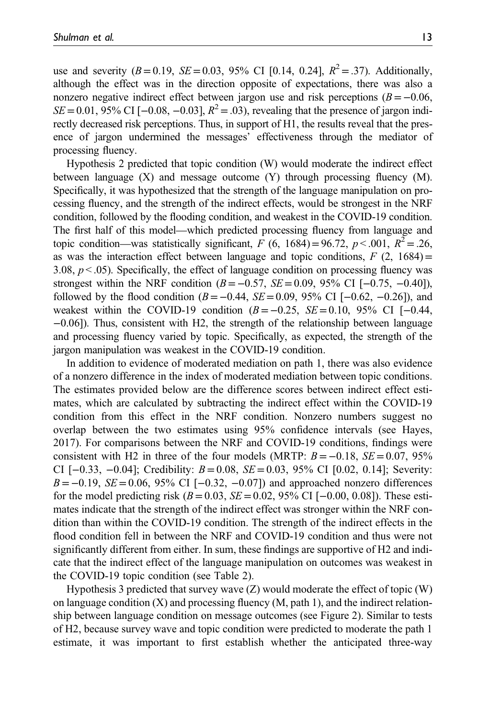use and severity  $(B=0.19, SE=0.03, 95\% \text{ CI} [0.14, 0.24], R^2 = .37)$ . Additionally, although the effect was in the direction opposite of expectations, there was also a nonzero negative indirect effect between jargon use and risk perceptions  $(B=-0.06,$  $SE$ =0.01, 95% CI [−0.08, −0.03],  $R^2$  = .03), revealing that the presence of jargon indirectly decreased risk perceptions. Thus, in support of H1, the results reveal that the presence of jargon undermined the messages' effectiveness through the mediator of processing fluency.

Hypothesis 2 predicted that topic condition (W) would moderate the indirect effect between language  $(X)$  and message outcome  $(Y)$  through processing fluency  $(M)$ . Specifically, it was hypothesized that the strength of the language manipulation on processing fluency, and the strength of the indirect effects, would be strongest in the NRF condition, followed by the flooding condition, and weakest in the COVID-19 condition. The first half of this model—which predicted processing fluency from language and topic condition—was statistically significant, F (6, 1684) = 96.72,  $p < .001$ ,  $R^2 = .26$ , as was the interaction effect between language and topic conditions,  $F(2, 1684) =$ 3.08,  $p < 0.05$ ). Specifically, the effect of language condition on processing fluency was strongest within the NRF condition  $(B=-0.57, SE=0.09, 95\% \text{ CI } [-0.75, -0.40]$ , followed by the flood condition ( $B = -0.44$ ,  $SE = 0.09$ , 95% CI [ $-0.62$ ,  $-0.26$ ]), and weakest within the COVID-19 condition  $(B=-0.25, SE=0.10, 95\% \text{ CI } [-0.44,$ −0.06]). Thus, consistent with H2, the strength of the relationship between language and processing fluency varied by topic. Specifically, as expected, the strength of the jargon manipulation was weakest in the COVID-19 condition.

In addition to evidence of moderated mediation on path 1, there was also evidence of a nonzero difference in the index of moderated mediation between topic conditions. The estimates provided below are the difference scores between indirect effect estimates, which are calculated by subtracting the indirect effect within the COVID-19 condition from this effect in the NRF condition. Nonzero numbers suggest no overlap between the two estimates using 95% confidence intervals (see Hayes, 2017). For comparisons between the NRF and COVID-19 conditions, findings were consistent with H2 in three of the four models (MRTP:  $B = -0.18$ ,  $SE = 0.07$ , 95% CI [-0.33, -0.04]; Credibility:  $B = 0.08$ ,  $SE = 0.03$ , 95% CI [0.02, 0.14]; Severity:  $B = -0.19$ ,  $SE = 0.06$ , 95% CI [-0.32, -0.07]) and approached nonzero differences for the model predicting risk ( $B = 0.03$ ,  $SE = 0.02$ , 95% CI [-0.00, 0.08]). These estimates indicate that the strength of the indirect effect was stronger within the NRF condition than within the COVID-19 condition. The strength of the indirect effects in the flood condition fell in between the NRF and COVID-19 condition and thus were not significantly different from either. In sum, these findings are supportive of H2 and indicate that the indirect effect of the language manipulation on outcomes was weakest in the COVID-19 topic condition (see Table 2).

Hypothesis 3 predicted that survey wave  $(Z)$  would moderate the effect of topic  $(W)$ on language condition  $(X)$  and processing fluency  $(M, \text{path 1})$ , and the indirect relationship between language condition on message outcomes (see Figure 2). Similar to tests of H2, because survey wave and topic condition were predicted to moderate the path 1 estimate, it was important to first establish whether the anticipated three-way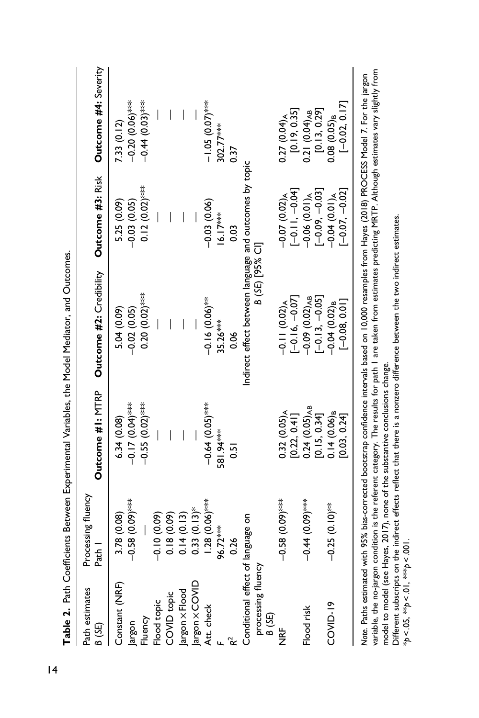| Path estimates<br>8 (SE)                       | Processing fluency<br>nas<br>M | Outcome #1: MTRP                                                              | Outcome #2: Credibility                                                                                                                                                                                                                                                                                | Outcome #3: Risk | Outcome #4: Severity |
|------------------------------------------------|--------------------------------|-------------------------------------------------------------------------------|--------------------------------------------------------------------------------------------------------------------------------------------------------------------------------------------------------------------------------------------------------------------------------------------------------|------------------|----------------------|
| Constant (NRF)                                 | 3.78 (0.08)                    | 6.34(0.08)                                                                    | 5.04 (0.09)                                                                                                                                                                                                                                                                                            | 5.25 (0.09)      | 7.33 (0.12)          |
| Jargon                                         | $-0.58(0.05)$                  | $-0.17$ (0.0) $\times$                                                        | $-0.02(0.05)$                                                                                                                                                                                                                                                                                          | $-0.03(0.05)$    | $-0.20(0.05)$        |
| Fluency                                        |                                | $-0.55(0.02)$ ****                                                            | $0.20(0.02)$ ***                                                                                                                                                                                                                                                                                       | $0.12(0.02)$ *** | $-0.44(0.03)$ ***    |
| Flood topic                                    | $-0.10(0.09)$                  |                                                                               |                                                                                                                                                                                                                                                                                                        |                  |                      |
| COVID topic                                    | 0.18(0.09)                     |                                                                               |                                                                                                                                                                                                                                                                                                        |                  |                      |
|                                                | 0.14(0.13)                     |                                                                               |                                                                                                                                                                                                                                                                                                        |                  |                      |
|                                                | $0.33(0.13)$ *                 |                                                                               |                                                                                                                                                                                                                                                                                                        |                  |                      |
| Jargon x Flood<br>Jargon x COVID<br>Att. check | $1.28(0.06)$ ***               | $-0.64(0.05)$ ***                                                             | $-0.16(0.06)$ <sup>**</sup>                                                                                                                                                                                                                                                                            | $-0.03(0.06)$    | $-1.05(0.07)$ ***    |
|                                                | 96.72****                      | 581.94***                                                                     | $35.26***$                                                                                                                                                                                                                                                                                             | $16.17***$       | 302.77***            |
|                                                | 0.26                           | $\overline{5}$                                                                | 80                                                                                                                                                                                                                                                                                                     | 0.03             | 0.37                 |
| Conditional effect of                          | language on                    |                                                                               | Indirect effect between language and outcomes by topic                                                                                                                                                                                                                                                 |                  |                      |
| processing fluency<br>B (SE)                   |                                |                                                                               | B (SE) [95% CI]                                                                                                                                                                                                                                                                                        |                  |                      |
| <b>HRF</b>                                     | $-0.58(0.09)$                  | $0.32(0.05)_{A}$                                                              | $-0.11(0.02)$ A                                                                                                                                                                                                                                                                                        | $-0.07(0.02)$    | $0.27(0.04)$ A       |
|                                                |                                | [0.22, 0.41]                                                                  | $[-0.16, -0.07]$                                                                                                                                                                                                                                                                                       | $[-0.11, -0.04]$ | [0.19, 0.35]         |
| Flood risk                                     | $-0.44(0)$                     | $0.24(0.05)_{AB}$                                                             | $-0.09$ (0.02) <sub>AB</sub>                                                                                                                                                                                                                                                                           | $-0.06(0.01)$ A  | $0.21(0.04)_{AB}$    |
|                                                |                                | [0.15, 0.34]                                                                  | $[-0.13, -0.05]$                                                                                                                                                                                                                                                                                       | $[-0.09, -0.03]$ | [0.13, 0.29]         |
| COVID-19                                       | $-0.25$ $(0.10)$ <sup>**</sup> | $0.14(0.06)_{B}$                                                              | $-0.04(0.02)_B$                                                                                                                                                                                                                                                                                        | $-0.04(0.01)$ A  | $0.08(0.05)_B$       |
|                                                |                                | [0.03, 0.24]                                                                  | $[-0.08, 0.01]$                                                                                                                                                                                                                                                                                        | $[-0.07, -0.02]$ | $[-0.02, 0.17]$      |
| variable, the no-jargon                        |                                | model to model (see Hayes, 2017), none of the substantive conclusions change. | condition is the referent category. The results for path I are taken from estimates predicting MRTP. Although estimates vary slightly from<br>Note. Paths estimated with 95% bias-corrected bootstrap confidence intervals based on 10,000 resamples from Hayes (2018) PROCESS Model 7. For the jargon |                  |                      |

\*p < .05, \*\*p < .01, \*\*\*p < .001.

\* $p < .05$ , \*\* $p < .01$ , \*\*\* $p < .001$ .

Different subscripts on the indirect effects reflect that there is a nonzero difference between the two indirect estimates.

Different subscripts on the indirect effects reflect that there is a nonzero difference between the two indirect estimates.

Table 2. Path Coefficients Between Experimental Variables, the Model Mediator, and Outcomes. Table 2. Path Coefficients Between Experimental Variables, the Model Mediator, and Outcomes.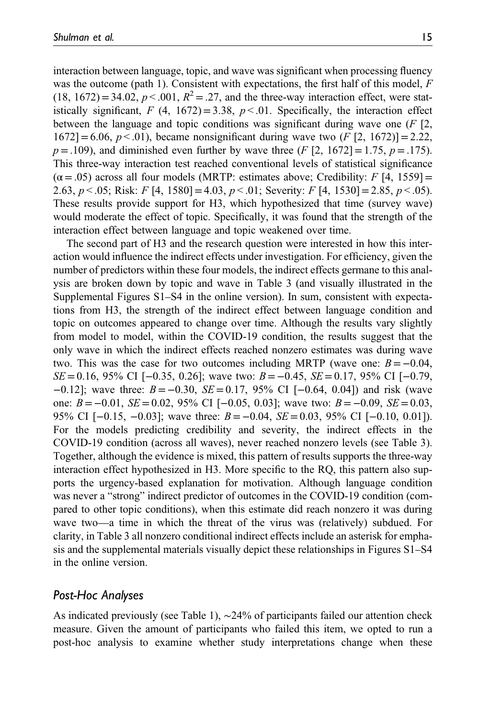interaction between language, topic, and wave was significant when processing fluency was the outcome (path 1). Consistent with expectations, the first half of this model,  $F$  $(18, 1672) = 34.02$ ,  $p < .001$ ,  $R^2 = .27$ , and the three-way interaction effect, were statistically significant, F (4, 1672) = 3.38,  $p < 0.01$ . Specifically, the interaction effect between the language and topic conditions was significant during wave one  $(F \rvert 2)$ ,  $1672$ ]=6.06,  $p < 0.01$ ), became nonsignificant during wave two  $(F [2, 1672)] = 2.22$ ,  $p = .109$ ), and diminished even further by wave three (F [2, 1672] = 1.75,  $p = .175$ ). This three-way interaction test reached conventional levels of statistical significance  $(\alpha = .05)$  across all four models (MRTP: estimates above; Credibility: F [4, 1559] = 2.63,  $p < .05$ ; Risk: F [4, 1580] = 4.03,  $p < .01$ ; Severity: F [4, 1530] = 2.85,  $p < .05$ ). These results provide support for H3, which hypothesized that time (survey wave) would moderate the effect of topic. Specifically, it was found that the strength of the interaction effect between language and topic weakened over time.

The second part of H3 and the research question were interested in how this interaction would influence the indirect effects under investigation. For efficiency, given the number of predictors within these four models, the indirect effects germane to this analysis are broken down by topic and wave in Table 3 (and visually illustrated in the [Supplemental Figures S1](https://journals.sagepub.com/doi/suppl/10.1177/0261927X211043100)–S4 in the online version). In sum, consistent with expectations from H3, the strength of the indirect effect between language condition and topic on outcomes appeared to change over time. Although the results vary slightly from model to model, within the COVID-19 condition, the results suggest that the only wave in which the indirect effects reached nonzero estimates was during wave two. This was the case for two outcomes including MRTP (wave one:  $B = -0.04$ , SE = 0.16, 95% CI [−0.35, 0.26]; wave two:  $B = -0.45$ , SE = 0.17, 95% CI [−0.79,  $-0.12$ ]; wave three:  $B = -0.30$ ,  $SE = 0.17$ , 95% CI [ $-0.64$ , 0.04]) and risk (wave one:  $B = −0.01$ ,  $SE = 0.02$ , 95% CI [−0.05, 0.03]; wave two:  $B = −0.09$ ,  $SE = 0.03$ , 95% CI  $[-0.15, -0.03]$ ; wave three:  $B = -0.04$ ,  $SE = 0.03$ , 95% CI  $[-0.10, 0.01]$ . For the models predicting credibility and severity, the indirect effects in the COVID-19 condition (across all waves), never reached nonzero levels (see Table 3). Together, although the evidence is mixed, this pattern of results supports the three-way interaction effect hypothesized in H3. More specific to the RQ, this pattern also supports the urgency-based explanation for motivation. Although language condition was never a "strong" indirect predictor of outcomes in the COVID-19 condition (compared to other topic conditions), when this estimate did reach nonzero it was during wave two—a time in which the threat of the virus was (relatively) subdued. For clarity, in Table 3 all nonzero conditional indirect effects include an asterisk for emphasis and the supplemental materials visually depict these relationships in [Figures S1](https://journals.sagepub.com/doi/suppl/10.1177/0261927X211043100)–S4 in the online version.

### Post-Hoc Analyses

As indicated previously (see Table 1), ∼24% of participants failed our attention check measure. Given the amount of participants who failed this item, we opted to run a post-hoc analysis to examine whether study interpretations change when these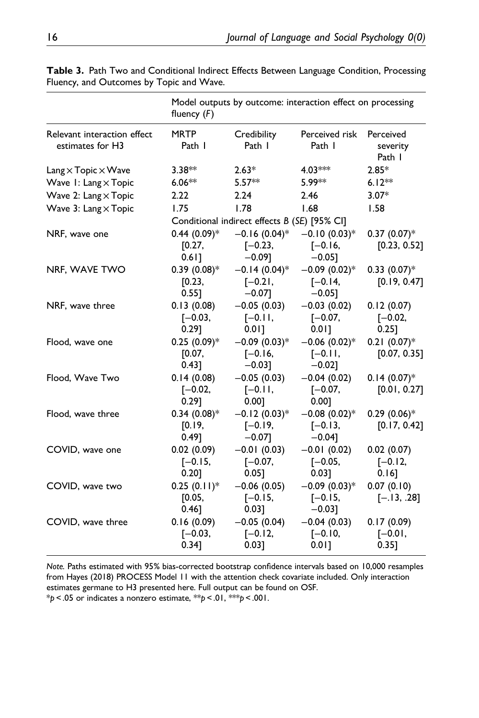|                                                      | fluency $(F)$                      | Model outputs by outcome: interaction effect on processing |                                           |                                     |
|------------------------------------------------------|------------------------------------|------------------------------------------------------------|-------------------------------------------|-------------------------------------|
| Relevant interaction effect<br>estimates for H3      | <b>MRTP</b><br>Path I              | Credibility<br>Path I                                      | Perceived risk<br>Path I                  | Perceived<br>severity<br>Path I     |
| $\text{Lang} \times \text{Topic} \times \text{Wave}$ | $3.38***$                          | $2.63*$                                                    | $4.03***$                                 | $2.85*$                             |
| Wave I: Lang x Topic                                 | $6.06***$                          | $5.57**$                                                   | 5.99**                                    | $6.12**$                            |
| Wave 2: Lang x Topic                                 | 2.22                               | 2.24                                                       | 2.46                                      | $3.07*$                             |
| Wave 3: Lang x Topic                                 | 1.75                               | 1.78                                                       | 1.68                                      | 1.58                                |
|                                                      |                                    | Conditional indirect effects B (SE) [95% CI]               |                                           |                                     |
| NRF, wave one                                        | $0.44 (0.09)$ *<br>[0.27,<br>0.61] | $-0.16(0.04)$ *<br>$[-0.23,$<br>$-0.09$ ]                  | $-0.10(0.03)$ *<br>$[-0.16,$<br>$-0.05$ ] | $0.37(0.07)*$<br>[0.23, 0.52]       |
| NRF, WAVE TWO                                        | $0.39(0.08)*$<br>[0.23,<br>0.551   | $-0.14(0.04)$ *<br>$[-0.2]$ ,<br>$-0.07$ ]                 | $-0.09(0.02)$ *<br>$[-0.14,$<br>$-0.05$ ] | $0.33$ $(0.07)$ *<br>[0.19, 0.47]   |
| NRF, wave three                                      | 0.13(0.08)<br>$[-0.03,$<br>0.291   | $-0.05(0.03)$<br>$[-0.11,$<br>$0.01$ ]                     | $-0.03(0.02)$<br>$[-0.07,$<br>0.011       | 0.12(0.07)<br>$[-0.02,$<br>$0.25$ ] |
| Flood, wave one                                      | $0.25(0.09)*$<br>[0.07,<br>0.43]   | $-0.09(0.03)*$<br>$[-0.16,$<br>$-0.03$ ]                   | $-0.06$ (0.02)*<br>$[-0.11,$<br>$-0.02]$  | $0.21(0.07)*$<br>[0.07, 0.35]       |
| Flood, Wave Two                                      | 0.14(0.08)<br>$[-0.02,$<br>0.291   | $-0.05(0.03)$<br>$[-0.11,$<br>0.00]                        | $-0.04(0.02)$<br>$[-0.07,$<br>0.001       | $0.14(0.07)*$<br>[0.01, 0.27]       |
| Flood, wave three                                    | $0.34(0.08)*$<br>[0.19,<br>0.49]   | $-0.12(0.03)*$<br>$[-0.19,$<br>$-0.07$ ]                   | $-0.08(0.02)$ *<br>$[-0.13,$<br>$-0.04$ ] | $0.29(0.06)*$<br>[0.17, 0.42]       |
| COVID, wave one                                      | 0.02(0.09)<br>$[-0.15,$<br>0.20]   | $-0.01(0.03)$<br>$[-0.07,$<br>0.05]                        | $-0.01(0.02)$<br>$[-0.05,$<br>0.03]       | 0.02(0.07)<br>$[-0.12,$<br>0.16]    |
| COVID, wave two                                      | $0.25(0.11)^*$<br>[0.05,<br>0.46]  | $-0.06(0.05)$<br>$[-0.15,$<br>0.031                        | $-0.09(0.03)*$<br>$[-0.15,$<br>$-0.03$ ]  | 0.07(0.10)<br>$[-.13, .28]$         |
| COVID, wave three                                    | 0.16(0.09)<br>$[-0.03,$<br>0.34]   | $-0.05(0.04)$<br>$[-0.12,$<br>0.03]                        | $-0.04(0.03)$<br>$[-0.10,$<br>$0.01$ ]    | 0.17(0.09)<br>$[-0.01,$<br>0.35]    |

Table 3. Path Two and Conditional Indirect Effects Between Language Condition, Processing Fluency, and Outcomes by Topic and Wave.

Note. Paths estimated with 95% bias-corrected bootstrap confidence intervals based on 10,000 resamples from Hayes (2018) PROCESS Model 11 with the attention check covariate included. Only interaction estimates germane to H3 presented here. Full output can be found on OSF.  $*p < .05$  or indicates a nonzero estimate,  $**p < .01$ ,  $***p < .001$ .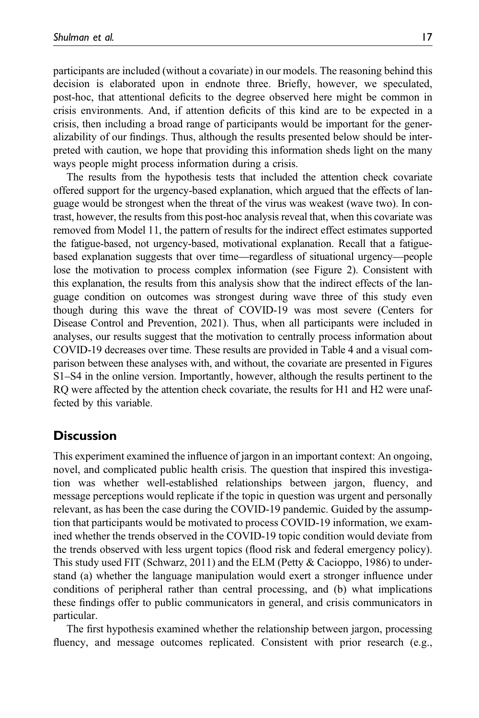participants are included (without a covariate) in our models. The reasoning behind this decision is elaborated upon in endnote three. Briefly, however, we speculated, post-hoc, that attentional deficits to the degree observed here might be common in crisis environments. And, if attention deficits of this kind are to be expected in a crisis, then including a broad range of participants would be important for the generalizability of our findings. Thus, although the results presented below should be interpreted with caution, we hope that providing this information sheds light on the many ways people might process information during a crisis.

The results from the hypothesis tests that included the attention check covariate offered support for the urgency-based explanation, which argued that the effects of language would be strongest when the threat of the virus was weakest (wave two). In contrast, however, the results from this post-hoc analysis reveal that, when this covariate was removed from Model 11, the pattern of results for the indirect effect estimates supported the fatigue-based, not urgency-based, motivational explanation. Recall that a fatiguebased explanation suggests that over time—regardless of situational urgency—people lose the motivation to process complex information (see Figure 2). Consistent with this explanation, the results from this analysis show that the indirect effects of the language condition on outcomes was strongest during wave three of this study even though during this wave the threat of COVID-19 was most severe (Centers for Disease Control and Prevention, 2021). Thus, when all participants were included in analyses, our results suggest that the motivation to centrally process information about COVID-19 decreases over time. These results are provided in Table 4 and a visual comparison between these analyses with, and without, the covariate are presented in [Figures](https://journals.sagepub.com/doi/suppl/10.1177/0261927X211043100) S1–[S4](https://journals.sagepub.com/doi/suppl/10.1177/0261927X211043100) in the online version. Importantly, however, although the results pertinent to the RQ were affected by the attention check covariate, the results for H1 and H2 were unaffected by this variable.

# **Discussion**

This experiment examined the influence of jargon in an important context: An ongoing, novel, and complicated public health crisis. The question that inspired this investigation was whether well-established relationships between jargon, fluency, and message perceptions would replicate if the topic in question was urgent and personally relevant, as has been the case during the COVID-19 pandemic. Guided by the assumption that participants would be motivated to process COVID-19 information, we examined whether the trends observed in the COVID-19 topic condition would deviate from the trends observed with less urgent topics (flood risk and federal emergency policy). This study used FIT (Schwarz, 2011) and the ELM (Petty  $& \text{Cacioppo}, 1986$ ) to understand (a) whether the language manipulation would exert a stronger influence under conditions of peripheral rather than central processing, and (b) what implications these findings offer to public communicators in general, and crisis communicators in particular.

The first hypothesis examined whether the relationship between jargon, processing fluency, and message outcomes replicated. Consistent with prior research (e.g.,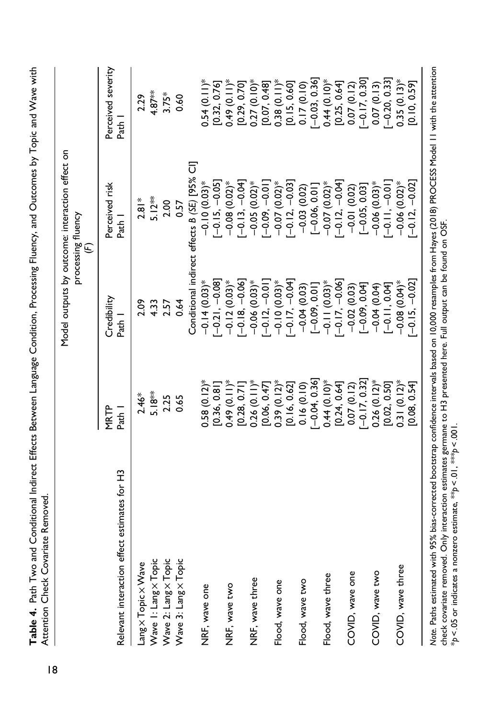|                                                 |                   |                       | Model outputs by outcome: interaction effect on<br>processing fluency<br>$\widehat{\in}$ |                              |
|-------------------------------------------------|-------------------|-----------------------|------------------------------------------------------------------------------------------|------------------------------|
| effect estimates for H3<br>Relevant interaction | MRTP<br>Path 1    | Credibility<br>Path 1 | Perceived risk<br>Path 1                                                                 | Perceived severity<br>Path I |
| Lang x Topic x Wave                             | $2.46*$           | 2.09                  | $2.81*$                                                                                  | 2.29                         |
| Wave I: Lang x Topic                            | $5.18***$         | 4.33                  | $5.12**$                                                                                 | $4.87***$                    |
| Wave 2: Lang x Topic                            | 2.25              | 2.57                  | 2.00                                                                                     | $3.75*$                      |
| Wave 3: Lang x Topic                            | 0.65              | 0.64                  | 0.57                                                                                     | 0.60                         |
|                                                 |                   |                       | 5<br>Conditional indirect effects B (SE) [95%                                            |                              |
| NRF, wave one                                   | $0.58(0.12)$ *    | $-0.14(0.03)$ *       | $-0.10(0.03)$ *                                                                          | $0.54(0.11)^*$               |
|                                                 | [0.36, 0.81]      | $[-0.21, -0.08]$      | $[-0.15, -0.05]$                                                                         | [0.32, 0.76]                 |
| NRF, wave two                                   | $0.49(0.11)^*$    | $-0.12(0.03)$ *       | $-0.08(0.02)$ *                                                                          | $0.49(0.11)^*$               |
|                                                 | [0.28, 0.7]       | $[-0.18, -0.06]$      | $[-0.13, -0.04]$                                                                         | [0.29, 0.70]                 |
| NRF, wave three                                 | $0.26(0.11)^*$    | $-0.06(0.03)$ *       | $-0.05(0.02)$ *                                                                          | $0.27(0.10)$ *               |
|                                                 | [0.06, 0.47]      | $-0.12, -0.01$        | $-0.00 - 0.00$                                                                           | [0.07, 0.48]                 |
| Flood, wave one                                 | $0.39(0.12)$ *    | $-0.10(0.03)$ *       | $-0.07(0.02)$ *                                                                          | $0.38(0.11)^*$               |
|                                                 | [0.16, 0.62]      | $-0.17, -0.04$        | $[-0.12, -0.03]$                                                                         | [0.15, 0.60]                 |
| Flood, wave two                                 | 0.16(0.10)        | $-0.04(0.03)$         | $-0.03(0.02)$                                                                            | 0.17(0.10)                   |
|                                                 | $-0.04, 0.36$     | $[-0.09, 0.01]$       | $[-0.06, 0.01]$                                                                          | $[-0.03, 0.36]$              |
| Flood, wave three                               | $0.44(0.10)*$     | $-0.11(0.03)$ *       | $-0.07(0.02)$ *                                                                          | $0.44(0.10)*$                |
|                                                 | [0.24, 0.64]      | $-0.17, -0.06$        | $-0.12, -0.04$                                                                           | [0.25, 0.64]                 |
| COVID, wave one                                 | 0.07(0.12)        | $-0.02(0.03)$         | $-0.01(0.02)$                                                                            | 0.07(0.12)                   |
|                                                 | $-0.17, 0.32$     | $[-0.09, 0.04]$       | $[-0.05, 0.03]$                                                                          | $-0.17, 0.30$                |
| COVID, wave two                                 | $0.26$ $(0.12)$ * | $-0.04(0.04)$         | $-0.06(0.03)*$                                                                           | 0.07(0.13)                   |
|                                                 | [0.02, 0.50]      | $[-0.11, 0.04]$       | $-0.11, -0.1$                                                                            | $[-0.20, 0.33]$              |
| COVID, wave three                               | $0.31(0.12)$ *    | $-0.08$ $(0.04)$ *    | $-0.06$ $(0.02)$ *                                                                       | $0.35(0.13)$ *               |
|                                                 | [0.08, 0.54]      | $-0.15, -0.02$        | $-0.12, -0.02$                                                                           | [0.10, 0.59]                 |

\*p < .05 or indicates a nonzero estimate, \*\*p < .01, \*\*\*p < .001.

\*p < .05 or indicates a nonzero estimate, \*\* p < .01, \*\*\* p < .001.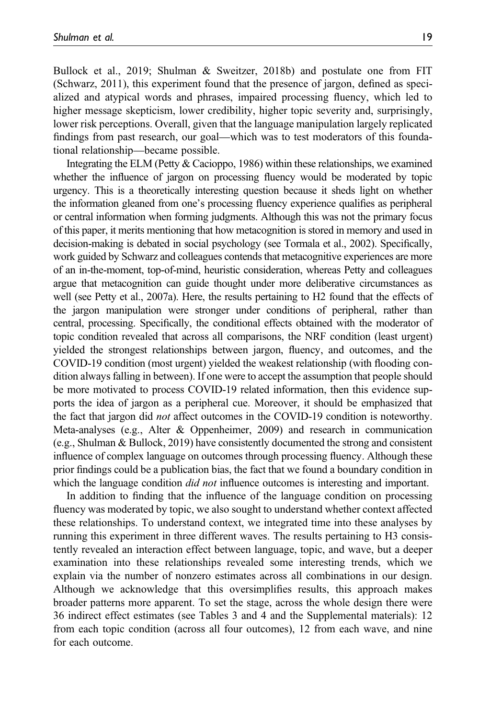Bullock et al., 2019; Shulman & Sweitzer, 2018b) and postulate one from FIT (Schwarz, 2011), this experiment found that the presence of jargon, defined as specialized and atypical words and phrases, impaired processing fluency, which led to higher message skepticism, lower credibility, higher topic severity and, surprisingly, lower risk perceptions. Overall, given that the language manipulation largely replicated findings from past research, our goal—which was to test moderators of this foundational relationship—became possible.

Integrating the ELM (Petty & Cacioppo, 1986) within these relationships, we examined whether the influence of jargon on processing fluency would be moderated by topic urgency. This is a theoretically interesting question because it sheds light on whether the information gleaned from one's processing fluency experience qualifies as peripheral or central information when forming judgments. Although this was not the primary focus of this paper, it merits mentioning that how metacognition is stored in memory and used in decision-making is debated in social psychology (see Tormala et al., 2002). Specifically, work guided by Schwarz and colleagues contends that metacognitive experiences are more of an in-the-moment, top-of-mind, heuristic consideration, whereas Petty and colleagues argue that metacognition can guide thought under more deliberative circumstances as well (see Petty et al., 2007a). Here, the results pertaining to H2 found that the effects of the jargon manipulation were stronger under conditions of peripheral, rather than central, processing. Specifically, the conditional effects obtained with the moderator of topic condition revealed that across all comparisons, the NRF condition (least urgent) yielded the strongest relationships between jargon, fluency, and outcomes, and the COVID-19 condition (most urgent) yielded the weakest relationship (with flooding condition always falling in between). If one were to accept the assumption that people should be more motivated to process COVID-19 related information, then this evidence supports the idea of jargon as a peripheral cue. Moreover, it should be emphasized that the fact that jargon did not affect outcomes in the COVID-19 condition is noteworthy. Meta-analyses (e.g., Alter & Oppenheimer, 2009) and research in communication (e.g., Shulman & Bullock, 2019) have consistently documented the strong and consistent influence of complex language on outcomes through processing fluency. Although these prior findings could be a publication bias, the fact that we found a boundary condition in which the language condition *did not* influence outcomes is interesting and important.

In addition to finding that the influence of the language condition on processing fluency was moderated by topic, we also sought to understand whether context affected these relationships. To understand context, we integrated time into these analyses by running this experiment in three different waves. The results pertaining to H3 consistently revealed an interaction effect between language, topic, and wave, but a deeper examination into these relationships revealed some interesting trends, which we explain via the number of nonzero estimates across all combinations in our design. Although we acknowledge that this oversimplifies results, this approach makes broader patterns more apparent. To set the stage, across the whole design there were 36 indirect effect estimates (see Tables 3 and 4 and the [Supplemental materials\)](https://journals.sagepub.com/doi/suppl/10.1177/0261927X211043100): 12 from each topic condition (across all four outcomes), 12 from each wave, and nine for each outcome.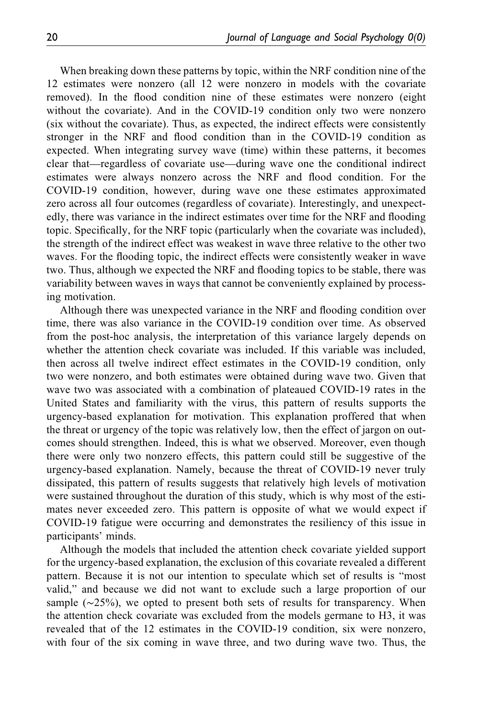When breaking down these patterns by topic, within the NRF condition nine of the 12 estimates were nonzero (all 12 were nonzero in models with the covariate removed). In the flood condition nine of these estimates were nonzero (eight without the covariate). And in the COVID-19 condition only two were nonzero (six without the covariate). Thus, as expected, the indirect effects were consistently stronger in the NRF and flood condition than in the COVID-19 condition as expected. When integrating survey wave (time) within these patterns, it becomes clear that—regardless of covariate use—during wave one the conditional indirect estimates were always nonzero across the NRF and flood condition. For the COVID-19 condition, however, during wave one these estimates approximated zero across all four outcomes (regardless of covariate). Interestingly, and unexpectedly, there was variance in the indirect estimates over time for the NRF and flooding topic. Specifically, for the NRF topic (particularly when the covariate was included), the strength of the indirect effect was weakest in wave three relative to the other two waves. For the flooding topic, the indirect effects were consistently weaker in wave two. Thus, although we expected the NRF and flooding topics to be stable, there was variability between waves in ways that cannot be conveniently explained by processing motivation.

Although there was unexpected variance in the NRF and flooding condition over time, there was also variance in the COVID-19 condition over time. As observed from the post-hoc analysis, the interpretation of this variance largely depends on whether the attention check covariate was included. If this variable was included, then across all twelve indirect effect estimates in the COVID-19 condition, only two were nonzero, and both estimates were obtained during wave two. Given that wave two was associated with a combination of plateaued COVID-19 rates in the United States and familiarity with the virus, this pattern of results supports the urgency-based explanation for motivation. This explanation proffered that when the threat or urgency of the topic was relatively low, then the effect of jargon on outcomes should strengthen. Indeed, this is what we observed. Moreover, even though there were only two nonzero effects, this pattern could still be suggestive of the urgency-based explanation. Namely, because the threat of COVID-19 never truly dissipated, this pattern of results suggests that relatively high levels of motivation were sustained throughout the duration of this study, which is why most of the estimates never exceeded zero. This pattern is opposite of what we would expect if COVID-19 fatigue were occurring and demonstrates the resiliency of this issue in participants' minds.

Although the models that included the attention check covariate yielded support for the urgency-based explanation, the exclusion of this covariate revealed a different pattern. Because it is not our intention to speculate which set of results is "most valid," and because we did not want to exclude such a large proportion of our sample (∼25%), we opted to present both sets of results for transparency. When the attention check covariate was excluded from the models germane to H3, it was revealed that of the 12 estimates in the COVID-19 condition, six were nonzero, with four of the six coming in wave three, and two during wave two. Thus, the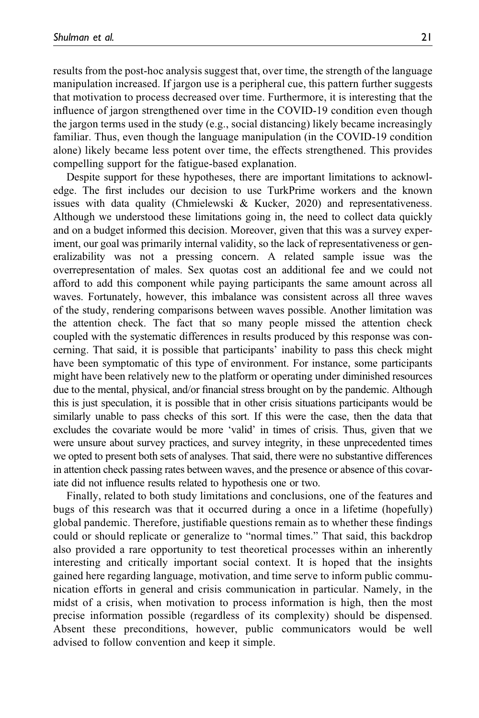results from the post-hoc analysis suggest that, over time, the strength of the language manipulation increased. If jargon use is a peripheral cue, this pattern further suggests that motivation to process decreased over time. Furthermore, it is interesting that the influence of jargon strengthened over time in the COVID-19 condition even though the jargon terms used in the study (e.g., social distancing) likely became increasingly familiar. Thus, even though the language manipulation (in the COVID-19 condition alone) likely became less potent over time, the effects strengthened. This provides compelling support for the fatigue-based explanation.

Despite support for these hypotheses, there are important limitations to acknowledge. The first includes our decision to use TurkPrime workers and the known issues with data quality (Chmielewski & Kucker, 2020) and representativeness. Although we understood these limitations going in, the need to collect data quickly and on a budget informed this decision. Moreover, given that this was a survey experiment, our goal was primarily internal validity, so the lack of representativeness or generalizability was not a pressing concern. A related sample issue was the overrepresentation of males. Sex quotas cost an additional fee and we could not afford to add this component while paying participants the same amount across all waves. Fortunately, however, this imbalance was consistent across all three waves of the study, rendering comparisons between waves possible. Another limitation was the attention check. The fact that so many people missed the attention check coupled with the systematic differences in results produced by this response was concerning. That said, it is possible that participants' inability to pass this check might have been symptomatic of this type of environment. For instance, some participants might have been relatively new to the platform or operating under diminished resources due to the mental, physical, and/or financial stress brought on by the pandemic. Although this is just speculation, it is possible that in other crisis situations participants would be similarly unable to pass checks of this sort. If this were the case, then the data that excludes the covariate would be more 'valid' in times of crisis. Thus, given that we were unsure about survey practices, and survey integrity, in these unprecedented times we opted to present both sets of analyses. That said, there were no substantive differences in attention check passing rates between waves, and the presence or absence of this covariate did not influence results related to hypothesis one or two.

Finally, related to both study limitations and conclusions, one of the features and bugs of this research was that it occurred during a once in a lifetime (hopefully) global pandemic. Therefore, justifiable questions remain as to whether these findings could or should replicate or generalize to "normal times." That said, this backdrop also provided a rare opportunity to test theoretical processes within an inherently interesting and critically important social context. It is hoped that the insights gained here regarding language, motivation, and time serve to inform public communication efforts in general and crisis communication in particular. Namely, in the midst of a crisis, when motivation to process information is high, then the most precise information possible (regardless of its complexity) should be dispensed. Absent these preconditions, however, public communicators would be well advised to follow convention and keep it simple.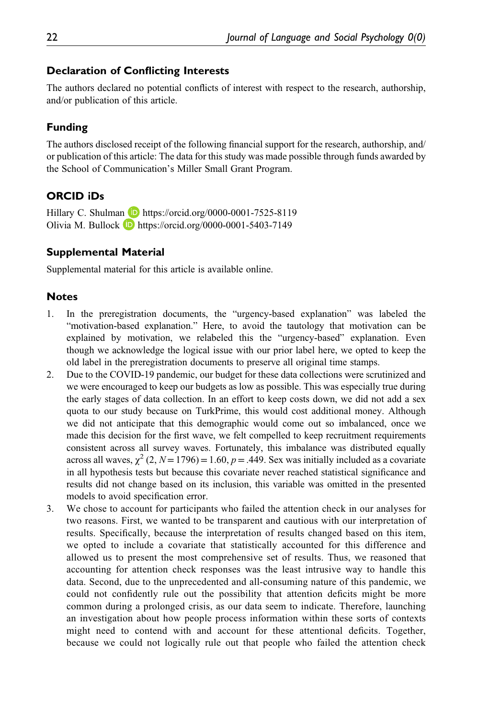#### Declaration of Conflicting Interests

The authors declared no potential conflicts of interest with respect to the research, authorship, and/or publication of this article.

### Funding

The authors disclosed receipt of the following financial support for the research, authorship, and/ or publication of this article: The data for this study was made possible through funds awarded by the School of Communication's Miller Small Grant Program.

### ORCID iDs

Hillary C. Shulman D <https://orcid.org/0000-0001-7525-8119> Olivia M. Bullock  $\Box$  <https://orcid.org/0000-0001-5403-7149>

#### Supplemental Material

Supplemental material for this article is available online.

#### **Notes**

- 1. In the preregistration documents, the "urgency-based explanation" was labeled the "motivation-based explanation." Here, to avoid the tautology that motivation can be explained by motivation, we relabeled this the "urgency-based" explanation. Even though we acknowledge the logical issue with our prior label here, we opted to keep the old label in the preregistration documents to preserve all original time stamps.
- 2. Due to the COVID-19 pandemic, our budget for these data collections were scrutinized and we were encouraged to keep our budgets as low as possible. This was especially true during the early stages of data collection. In an effort to keep costs down, we did not add a sex quota to our study because on TurkPrime, this would cost additional money. Although we did not anticipate that this demographic would come out so imbalanced, once we made this decision for the first wave, we felt compelled to keep recruitment requirements consistent across all survey waves. Fortunately, this imbalance was distributed equally across all waves,  $\chi^2$  (2, N = 1796) = 1.60, p = .449. Sex was initially included as a covariate in all hypothesis tests but because this covariate never reached statistical significance and results did not change based on its inclusion, this variable was omitted in the presented models to avoid specification error.
- 3. We chose to account for participants who failed the attention check in our analyses for two reasons. First, we wanted to be transparent and cautious with our interpretation of results. Specifically, because the interpretation of results changed based on this item, we opted to include a covariate that statistically accounted for this difference and allowed us to present the most comprehensive set of results. Thus, we reasoned that accounting for attention check responses was the least intrusive way to handle this data. Second, due to the unprecedented and all-consuming nature of this pandemic, we could not confidently rule out the possibility that attention deficits might be more common during a prolonged crisis, as our data seem to indicate. Therefore, launching an investigation about how people process information within these sorts of contexts might need to contend with and account for these attentional deficits. Together, because we could not logically rule out that people who failed the attention check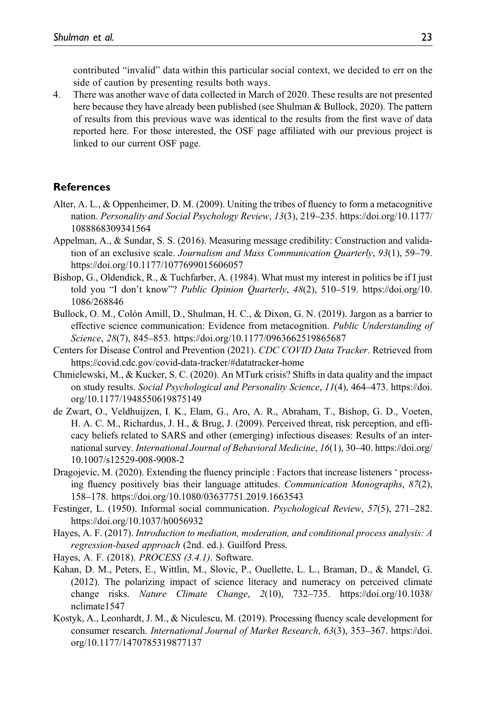contributed "invalid" data within this particular social context, we decided to err on the side of caution by presenting results both ways.

4. There was another wave of data collected in March of 2020. These results are not presented here because they have already been published (see Shulman & Bullock, 2020). The pattern of results from this previous wave was identical to the results from the first wave of data reported here. For those interested, the OSF page affiliated with our previous project is linked to our current OSF page.

#### References

- Alter, A. L., & Oppenheimer, D. M. (2009). Uniting the tribes of fluency to form a metacognitive nation. Personality and Social Psychology Review, 13(3), 219–235. [https://doi.org/10.1177/](https://doi.org/10.1177/1088868309341564) [1088868309341564](https://doi.org/10.1177/1088868309341564)
- Appelman, A., & Sundar, S. S. (2016). Measuring message credibility: Construction and validation of an exclusive scale. Journalism and Mass Communication Quarterly, 93(1), 59–79. <https://doi.org/10.1177/1077699015606057>
- Bishop, G., Oldendick, R., & Tuchfarber, A. (1984). What must my interest in politics be if I just told you "I don't know"? Public Opinion Quarterly, 48(2), 510–519. [https://doi.org/10.](https://doi.org/10.1086/268846) [1086/268846](https://doi.org/10.1086/268846)
- Bullock, O. M., Colón Amill, D., Shulman, H. C., & Dixon, G. N. (2019). Jargon as a barrier to effective science communication: Evidence from metacognition. Public Understanding of Science, 28(7), 845–853.<https://doi.org/10.1177/0963662519865687>
- Centers for Disease Control and Prevention (2021). CDC COVID Data Tracker. Retrieved from <https://covid.cdc.gov/covid-data-tracker/#datatracker-home>
- Chmielewski, M., & Kucker, S. C. (2020). An MTurk crisis? Shifts in data quality and the impact on study results. Social Psychological and Personality Science, 11(4), 464–473. [https://doi.](https://doi.org/10.1177/1948550619875149) [org/10.1177/1948550619875149](https://doi.org/10.1177/1948550619875149)
- de Zwart, O., Veldhuijzen, I. K., Elam, G., Aro, A. R., Abraham, T., Bishop, G. D., Voeten, H. A. C. M., Richardus, J. H., & Brug, J. (2009). Perceived threat, risk perception, and efficacy beliefs related to SARS and other (emerging) infectious diseases: Results of an international survey. International Journal of Behavioral Medicine, 16(1), 30–40. [https://doi.org/](https://doi.org/10.1007/s12529-008-9008-2) [10.1007/s12529-008-9008-2](https://doi.org/10.1007/s12529-008-9008-2)
- Dragojevic, M. (2020). Extending the fluency principle : Factors that increase listeners ' processing fluency positively bias their language attitudes. Communication Monographs, 87(2), 158–178.<https://doi.org/10.1080/03637751.2019.1663543>
- Festinger, L. (1950). Informal social communication. Psychological Review, 57(5), 271–282. <https://doi.org/10.1037/h0056932>
- Hayes, A. F. (2017). Introduction to mediation, moderation, and conditional process analysis: A regression-based approach (2nd. ed.). Guilford Press.
- Hayes, A. F. (2018). PROCESS (3.4.1). Software.
- Kahan, D. M., Peters, E., Wittlin, M., Slovic, P., Ouellette, L. L., Braman, D., & Mandel, G. (2012). The polarizing impact of science literacy and numeracy on perceived climate change risks. Nature Climate Change, 2(10), 732–735. [https://doi.org/10.1038/](https://doi.org/10.1038/nclimate1547) [nclimate1547](https://doi.org/10.1038/nclimate1547)
- Kostyk, A., Leonhardt, J. M., & Niculescu, M. (2019). Processing fluency scale development for consumer research. International Journal of Market Research, 63(3), 353–367. [https://doi.](https://doi.org/https://doi.org/10.1177/1470785319877137) [org/10.1177/1470785319877137](https://doi.org/https://doi.org/10.1177/1470785319877137)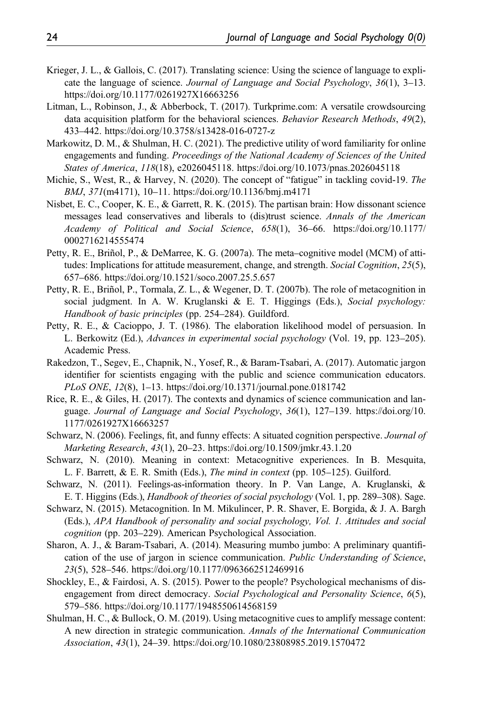- Krieger, J. L., & Gallois, C. (2017). Translating science: Using the science of language to explicate the language of science. Journal of Language and Social Psychology, 36(1), 3–13. <https://doi.org/10.1177/0261927X16663256>
- Litman, L., Robinson, J., & Abberbock, T. (2017). Turkprime.com: A versatile crowdsourcing data acquisition platform for the behavioral sciences. Behavior Research Methods, 49(2), 433–442.<https://doi.org/10.3758/s13428-016-0727-z>
- Markowitz, D. M., & Shulman, H. C. (2021). The predictive utility of word familiarity for online engagements and funding. Proceedings of the National Academy of Sciences of the United States of America, 118(18), e2026045118.<https://doi.org/10.1073/pnas.2026045118>
- Michie, S., West, R., & Harvey, N. (2020). The concept of "fatigue" in tackling covid-19. The BMJ, 371(m4171), 10–11. [https://doi.org/10.1136/bmj.m4171](https://doi.org/https://doi.org/10.1136/bmj.m4171)
- Nisbet, E. C., Cooper, K. E., & Garrett, R. K. (2015). The partisan brain: How dissonant science messages lead conservatives and liberals to (dis)trust science. Annals of the American Academy of Political and Social Science, 658(1), 36–66. [https://doi.org/10.1177/](https://doi.org/10.1177/0002716214555474) [0002716214555474](https://doi.org/10.1177/0002716214555474)
- Petty, R. E., Briñol, P., & DeMarree, K. G. (2007a). The meta–cognitive model (MCM) of attitudes: Implications for attitude measurement, change, and strength. Social Cognition, 25(5), 657–686.<https://doi.org/10.1521/soco.2007.25.5.657>
- Petty, R. E., Briñol, P., Tormala, Z. L., & Wegener, D. T. (2007b). The role of metacognition in social judgment. In A. W. Kruglanski & E. T. Higgings (Eds.), Social psychology: Handbook of basic principles (pp. 254–284). Guildford.
- Petty, R. E., & Cacioppo, J. T. (1986). The elaboration likelihood model of persuasion. In L. Berkowitz (Ed.), Advances in experimental social psychology (Vol. 19, pp. 123–205). Academic Press.
- Rakedzon, T., Segev, E., Chapnik, N., Yosef, R., & Baram-Tsabari, A. (2017). Automatic jargon identifier for scientists engaging with the public and science communication educators. PLoS ONE, 12(8), 1–13.<https://doi.org/10.1371/journal.pone.0181742>
- Rice, R. E., & Giles, H. (2017). The contexts and dynamics of science communication and language. Journal of Language and Social Psychology, 36(1), 127–139. [https://doi.org/10.](https://doi.org/10.1177/0261927X16663257) [1177/0261927X16663257](https://doi.org/10.1177/0261927X16663257)
- Schwarz, N. (2006). Feelings, fit, and funny effects: A situated cognition perspective. Journal of Marketing Research, 43(1), 20–23.<https://doi.org/10.1509/jmkr.43.1.20>
- Schwarz, N. (2010). Meaning in context: Metacognitive experiences. In B. Mesquita, L. F. Barrett, & E. R. Smith (Eds.), The mind in context (pp. 105–125). Guilford.
- Schwarz, N. (2011). Feelings-as-information theory. In P. Van Lange, A. Kruglanski, & E. T. Higgins (Eds.), Handbook of theories of social psychology (Vol. 1, pp. 289–308). Sage.
- Schwarz, N. (2015). Metacognition. In M. Mikulincer, P. R. Shaver, E. Borgida, & J. A. Bargh (Eds.), APA Handbook of personality and social psychology, Vol. 1. Attitudes and social cognition (pp. 203–229). American Psychological Association.
- Sharon, A. J., & Baram-Tsabari, A. (2014). Measuring mumbo jumbo: A preliminary quantification of the use of jargon in science communication. Public Understanding of Science, 23(5), 528–546.<https://doi.org/10.1177/0963662512469916>
- Shockley, E., & Fairdosi, A. S. (2015). Power to the people? Psychological mechanisms of disengagement from direct democracy. Social Psychological and Personality Science, 6(5), 579–586.<https://doi.org/10.1177/1948550614568159>
- Shulman, H. C., & Bullock, O. M. (2019). Using metacognitive cues to amplify message content: A new direction in strategic communication. Annals of the International Communication Association, 43(1), 24–39.<https://doi.org/10.1080/23808985.2019.1570472>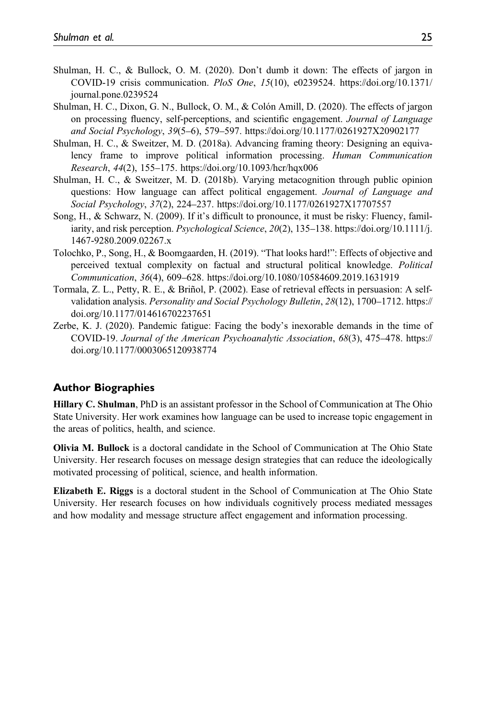- Shulman, H. C., & Bullock, O. M. (2020). Don't dumb it down: The effects of jargon in COVID-19 crisis communication. PloS One, 15(10), e0239524. [https://doi.org/10.1371/](https://doi.org/10.1371/journal.pone.0239524) [journal.pone.0239524](https://doi.org/10.1371/journal.pone.0239524)
- Shulman, H. C., Dixon, G. N., Bullock, O. M., & Colón Amill, D. (2020). The effects of jargon on processing fluency, self-perceptions, and scientific engagement. Journal of Language and Social Psychology, 39(5–6), 579–597.<https://doi.org/10.1177/0261927X20902177>
- Shulman, H. C., & Sweitzer, M. D. (2018a). Advancing framing theory: Designing an equivalency frame to improve political information processing. Human Communication Research, 44(2), 155–175.<https://doi.org/10.1093/hcr/hqx006>
- Shulman, H. C., & Sweitzer, M. D. (2018b). Varying metacognition through public opinion questions: How language can affect political engagement. Journal of Language and Social Psychology, 37(2), 224–237.<https://doi.org/10.1177/0261927X17707557>
- Song, H., & Schwarz, N. (2009). If it's difficult to pronounce, it must be risky: Fluency, familiarity, and risk perception. Psychological Science, 20(2), 135–138. [https://doi.org/10.1111/j.](https://doi.org/10.1111/j.1467-9280.2009.02267.x) [1467-9280.2009.02267.x](https://doi.org/10.1111/j.1467-9280.2009.02267.x)
- Tolochko, P., Song, H., & Boomgaarden, H. (2019). "That looks hard!": Effects of objective and perceived textual complexity on factual and structural political knowledge. Political Communication, 36(4), 609–628.<https://doi.org/10.1080/10584609.2019.1631919>
- Tormala, Z. L., Petty, R. E., & Briñol, P. (2002). Ease of retrieval effects in persuasion: A selfvalidation analysis. Personality and Social Psychology Bulletin, 28(12), 1700–1712. [https://](https://doi.org/10.1177/014616702237651) [doi.org/10.1177/014616702237651](https://doi.org/10.1177/014616702237651)
- Zerbe, K. J. (2020). Pandemic fatigue: Facing the body's inexorable demands in the time of COVID-19. Journal of the American Psychoanalytic Association, 68(3), 475–478. [https://](https://doi.org/10.1177/0003065120938774) [doi.org/10.1177/0003065120938774](https://doi.org/10.1177/0003065120938774)

### Author Biographies

Hillary C. Shulman, PhD is an assistant professor in the School of Communication at The Ohio State University. Her work examines how language can be used to increase topic engagement in the areas of politics, health, and science.

Olivia M. Bullock is a doctoral candidate in the School of Communication at The Ohio State University. Her research focuses on message design strategies that can reduce the ideologically motivated processing of political, science, and health information.

Elizabeth E. Riggs is a doctoral student in the School of Communication at The Ohio State University. Her research focuses on how individuals cognitively process mediated messages and how modality and message structure affect engagement and information processing.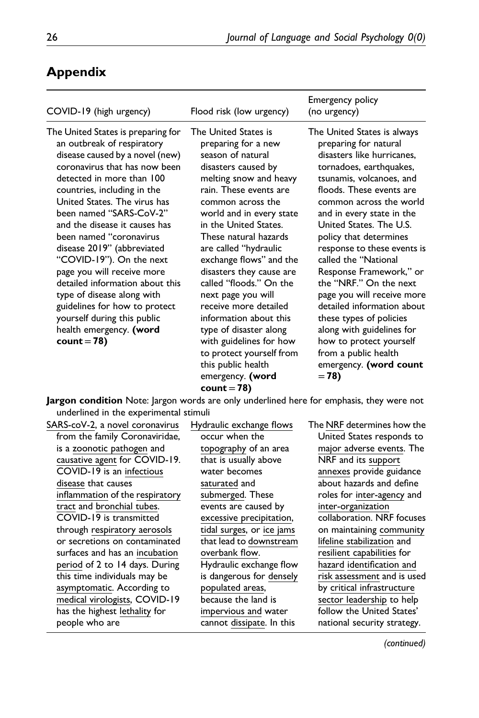| COVID-19 (high urgency)                                                                                                                                                                                                                                                                                                                                                                                                                                                                                                                                                                     | Flood risk (low urgency)                                                                                                                                                                                                                                                                                                                                                                                                                                                                                                                                                      | <b>Emergency policy</b><br>(no urgency)                                                                                                                                                                                                                                                                                                                                                                                                                                                                                                                                                                   |
|---------------------------------------------------------------------------------------------------------------------------------------------------------------------------------------------------------------------------------------------------------------------------------------------------------------------------------------------------------------------------------------------------------------------------------------------------------------------------------------------------------------------------------------------------------------------------------------------|-------------------------------------------------------------------------------------------------------------------------------------------------------------------------------------------------------------------------------------------------------------------------------------------------------------------------------------------------------------------------------------------------------------------------------------------------------------------------------------------------------------------------------------------------------------------------------|-----------------------------------------------------------------------------------------------------------------------------------------------------------------------------------------------------------------------------------------------------------------------------------------------------------------------------------------------------------------------------------------------------------------------------------------------------------------------------------------------------------------------------------------------------------------------------------------------------------|
| The United States is preparing for<br>an outbreak of respiratory<br>disease caused by a novel (new)<br>coronavirus that has now been<br>detected in more than 100<br>countries, including in the<br>United States. The virus has<br>been named "SARS-CoV-2"<br>and the disease it causes has<br>been named "coronavirus<br>disease 2019" (abbreviated<br>"COVID-19"). On the next<br>page you will receive more<br>detailed information about this<br>type of disease along with<br>guidelines for how to protect<br>yourself during this public<br>health emergency. (word<br>$count = 78$ | The United States is<br>preparing for a new<br>season of natural<br>disasters caused by<br>melting snow and heavy<br>rain. These events are<br>common across the<br>world and in every state<br>in the United States.<br>These natural hazards<br>are called "hydraulic<br>exchange flows" and the<br>disasters they cause are<br>called "floods." On the<br>next page you will<br>receive more detailed<br>information about this<br>type of disaster along<br>with guidelines for how<br>to protect yourself from<br>this public health<br>emergency. (word<br>$count = 78$ | The United States is always<br>preparing for natural<br>disasters like hurricanes.<br>tornadoes, earthquakes,<br>tsunamis, volcanoes, and<br>floods. These events are<br>common across the world<br>and in every state in the<br>United States. The U.S.<br>policy that determines<br>response to these events is<br>called the "National<br>Response Framework," or<br>the "NRF." On the next<br>page you will receive more<br>detailed information about<br>these types of policies<br>along with guidelines for<br>how to protect yourself<br>from a public health<br>emergency. (word count<br>$= 78$ |

# Appendix

**Jargon condition** Note: Jargon words are only underlined here for emphasis, they were not underlined in the experimental stimuli

| SARS-coV-2, a novel coronavirus | Hydraulic exchange flows  | The NRF determines how the  |
|---------------------------------|---------------------------|-----------------------------|
| from the family Coronaviridae,  | occur when the            | United States responds to   |
| is a zoonotic pathogen and      | topography of an area     | major adverse events. The   |
| causative agent for COVID-19.   | that is usually above     | NRF and its support         |
| COVID-19 is an infectious       | water becomes             | annexes provide guidance    |
| disease that causes             | saturated and             | about hazards and define    |
| inflammation of the respiratory | submerged. These          | roles for inter-agency and  |
| tract and bronchial tubes.      | events are caused by      | inter-organization          |
| COVID-19 is transmitted         | excessive precipitation,  | collaboration. NRF focuses  |
| through respiratory aerosols    | tidal surges, or ice jams | on maintaining community    |
| or secretions on contaminated   | that lead to downstream   | lifeline stabilization and  |
| surfaces and has an incubation  | overbank flow.            | resilient capabilities for  |
| period of 2 to 14 days. During  | Hydraulic exchange flow   | hazard identification and   |
| this time individuals may be    | is dangerous for densely  | risk assessment and is used |
| asymptomatic. According to      | populated areas,          | by critical infrastructure  |
| medical virologists, COVID-19   | because the land is       | sector leadership to help   |
| has the highest lethality for   | impervious and water      | follow the United States'   |
| people who are                  | cannot dissipate. In this | national security strategy. |
|                                 |                           |                             |

(continued)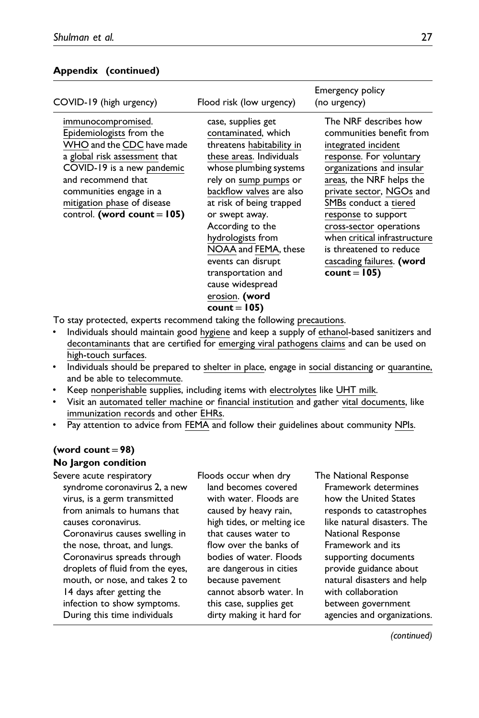### Appendix (continued)

| COVID-19 (high urgency)                                                                                                                                                                                                                                      | Flood risk (low urgency)                                                                                                                                                                                                                                                                                                                                                                            | Emergency policy<br>(no urgency)                                                                                                                                                                                                                                                                                                                                             |
|--------------------------------------------------------------------------------------------------------------------------------------------------------------------------------------------------------------------------------------------------------------|-----------------------------------------------------------------------------------------------------------------------------------------------------------------------------------------------------------------------------------------------------------------------------------------------------------------------------------------------------------------------------------------------------|------------------------------------------------------------------------------------------------------------------------------------------------------------------------------------------------------------------------------------------------------------------------------------------------------------------------------------------------------------------------------|
| immunocompromised.<br>Epidemiologists from the<br>WHO and the CDC have made<br>a global risk assessment that<br>COVID-19 is a new pandemic<br>and recommend that<br>communities engage in a<br>mitigation phase of disease<br>control. (word count = $105$ ) | case, supplies get<br>contaminated, which<br>threatens habitability in<br>these areas. Individuals<br>whose plumbing systems<br>rely on sump pumps or<br>backflow valves are also<br>at risk of being trapped<br>or swept away.<br>According to the<br>hydrologists from<br>NOAA and FEMA, these<br>events can disrupt<br>transportation and<br>cause widespread<br>erosion. (word<br>$count = 105$ | The NRF describes how<br>communities benefit from<br>integrated incident<br>response. For voluntary<br>organizations and insular<br>areas, the NRF helps the<br>private sector, NGOs and<br>SMBs conduct a tiered<br>response to support<br>cross-sector operations<br>when critical infrastructure<br>is threatened to reduce<br>cascading failures. (word<br>$count = 105$ |

To stay protected, experts recommend taking the following precautions.

- Individuals should maintain good hygiene and keep a supply of ethanol-based sanitizers and decontaminants that are certified for emerging viral pathogens claims and can be used on high-touch surfaces.
- Individuals should be prepared to shelter in place, engage in social distancing or quarantine, and be able to telecommute.
- Keep nonperishable supplies, including items with electrolytes like UHT milk.
- Visit an automated teller machine or financial institution and gather vital documents, like immunization records and other EHRs.
- Pay attention to advice from FEMA and follow their guidelines about community NPIs.

# (word count  $=98$ )

### No Jargon condition

Severe acute respiratory syndrome coronavirus 2, a new virus, is a germ transmitted from animals to humans that causes coronavirus. Coronavirus causes swelling in the nose, throat, and lungs. Coronavirus spreads through droplets of fluid from the eyes, mouth, or nose, and takes 2 to 14 days after getting the infection to show symptoms. During this time individuals

Floods occur when dry land becomes covered with water. Floods are caused by heavy rain, high tides, or melting ice that causes water to flow over the banks of bodies of water. Floods are dangerous in cities because pavement cannot absorb water. In this case, supplies get dirty making it hard for

The National Response Framework determines how the United States responds to catastrophes like natural disasters. The National Response Framework and its supporting documents provide guidance about natural disasters and help with collaboration between government agencies and organizations.

(continued)